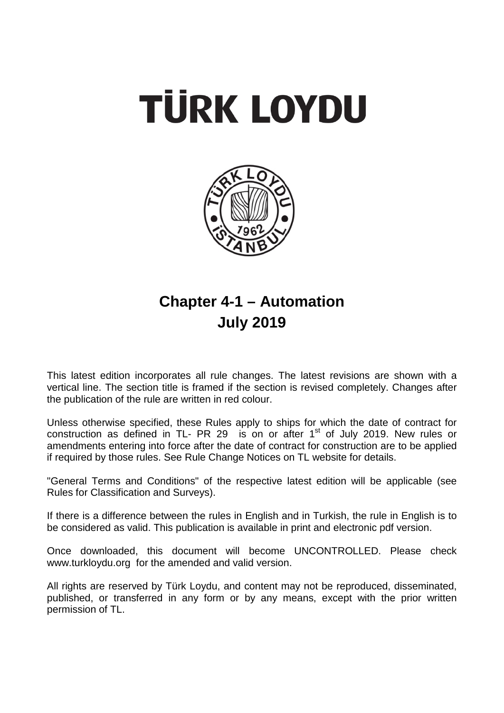



# **Chapter 4-1 – Automation July 2019**

This latest edition incorporates all rule changes. The latest revisions are shown with a vertical line. The section title is framed if the section is revised completely. Changes after the publication of the rule are written in red colour.

Unless otherwise specified, these Rules apply to ships for which the date of contract for construction as defined in TL- PR 29 is on or after  $1<sup>st</sup>$  of July 2019. New rules or amendments entering into force after the date of contract for construction are to be applied if required by those rules. See Rule Change Notices on TL website for details.

"General Terms and Conditions" of the respective latest edition will be applicable (see Rules for Classification and Surveys).

If there is a difference between the rules in English and in Turkish, the rule in English is to be considered as valid. This publication is available in print and [electronic](http://erules.veristar.com/) pdf version.

Once downloaded, this document will become UNCONTROLLED. Please check www.turkloydu.org for the amended and valid version.

All rights are reserved by Türk Loydu, and content may not be reproduced, disseminated, published, or transferred in any form or by any means, except with the prior written permission of TL.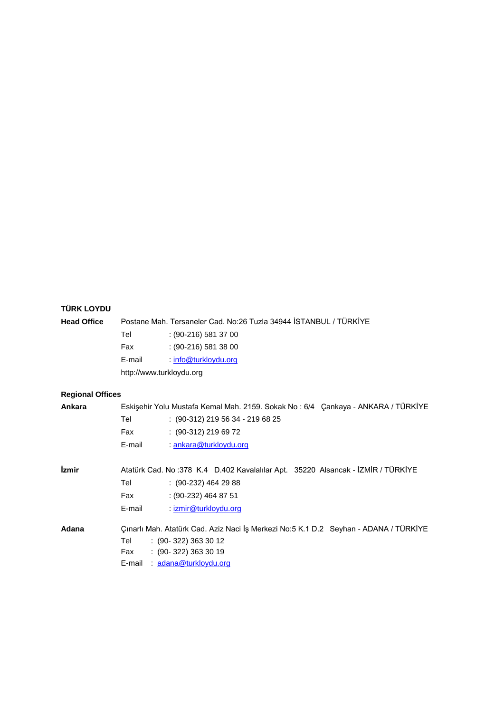## **TÜRK LOYDU**

| <b>Head Office</b>      |                          | Postane Mah. Tersaneler Cad. No:26 Tuzla 34944 STANBUL / TÜRKİYE                                                                                                     |
|-------------------------|--------------------------|----------------------------------------------------------------------------------------------------------------------------------------------------------------------|
|                         | Tel                      | $(90-216)$ 581 37 00                                                                                                                                                 |
|                         | Fax                      | $(90-216)$ 581 38 00                                                                                                                                                 |
|                         | E-mail                   | $:$ info@turkloydu.org                                                                                                                                               |
|                         | http://www.turkloydu.org |                                                                                                                                                                      |
| <b>Regional Offices</b> |                          |                                                                                                                                                                      |
| Ankara                  |                          | Eskişehir Yolu Mustafa Kemal Mah. 2159. Sokak No: 6/4 Çankaya - ANKARA / TÜRKİYE                                                                                     |
|                         | Tel                      | $: (90-312)$ 219 56 34 - 219 68 25                                                                                                                                   |
|                         | Fax                      | $(90-312)$ 219 69 72                                                                                                                                                 |
|                         | E-mail                   | : ankara@turkloydu.org                                                                                                                                               |
| <i>izmir</i>            |                          | Atatürk Cad. No :378 K.4 D.402 Kavalalılar Apt. 35220 Alsancak - İZMİR / TÜRKİYE                                                                                     |
|                         | Tel                      | $(90-232)$ 464 29 88                                                                                                                                                 |
|                         | Fax                      | $(90-232)$ 464 87 51                                                                                                                                                 |
|                         | E-mail                   | : izmir@turkloydu.org                                                                                                                                                |
| Adana                   | Tel<br>Fax<br>E-mail     | Çınarlı Mah. Atatürk Cad. Aziz Naci İş Merkezi No:5 K.1 D.2 Seyhan - ADANA / TÜRKİYE<br>$(90-322)$ 363 30 12<br>$: (90-322) 363 30 19$<br><u>adana@turkloydu.org</u> |
|                         |                          |                                                                                                                                                                      |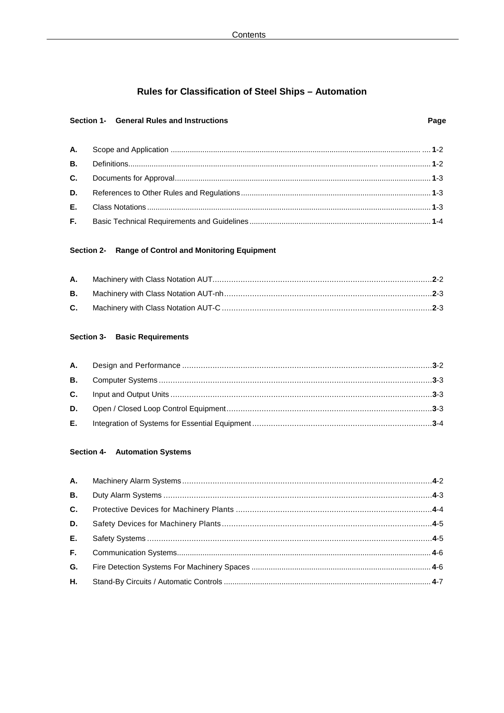## Rules for Classification of Steel Ships - Automation

### Section 1- General Rules and Instructions

## Section 2- Range of Control and Monitoring Equipment

### **Section 3- Basic Requirements**

### Section 4- Automation Systems

| C.  |  |
|-----|--|
| D.  |  |
| E., |  |
| F.  |  |
| G.  |  |
| Н.  |  |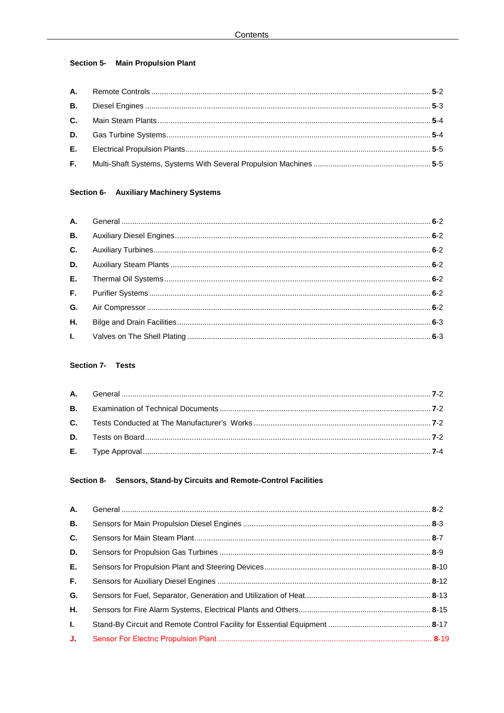## Section 5- Main Propulsion Plant

## Section 6- Auxiliary Machinery Systems

## Section 7- Tests

## Section 8- Sensors, Stand-by Circuits and Remote-Control Facilities

| А.           |  |
|--------------|--|
| <b>B.</b>    |  |
| C.           |  |
| D.           |  |
| Е.           |  |
| F.           |  |
| G.           |  |
| Η.           |  |
| $\mathbf{L}$ |  |
| J.           |  |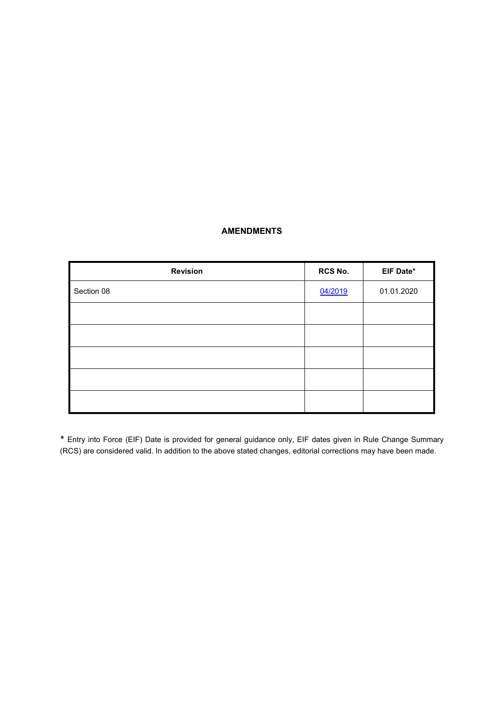## **AMENDMENTS**

J.

| <b>Revision</b> | RCS No. | EIF Date*  |
|-----------------|---------|------------|
| Section 08      | 04/2019 | 01.01.2020 |
|                 |         |            |
|                 |         |            |
|                 |         |            |
|                 |         |            |
|                 |         |            |

\* Entry into Force (EIF) Date is provided for general guidance only, EIF dates given in Rule Change Summary (RCS) are considered valid. In addition to the above stated changes, editorial corrections may have been made.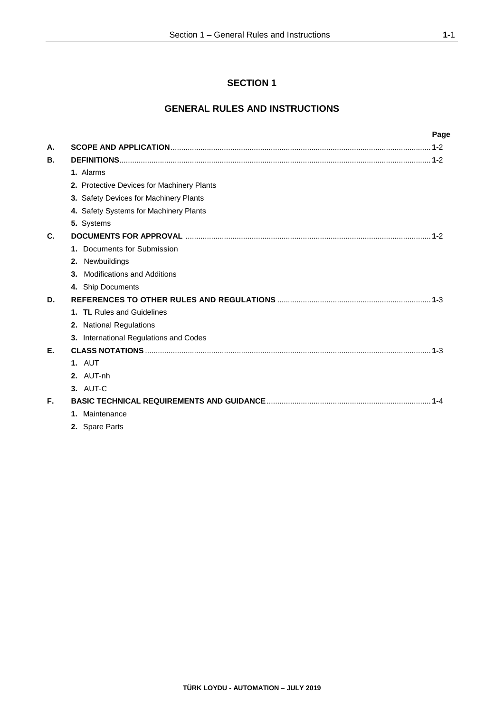## **SECTION 1**

## **GENERAL RULES AND INSTRUCTIONS**

|    |                                            | Page |
|----|--------------------------------------------|------|
| А. |                                            |      |
| В. |                                            |      |
|    | 1. Alarms                                  |      |
|    | 2. Protective Devices for Machinery Plants |      |
|    | 3. Safety Devices for Machinery Plants     |      |
|    | 4. Safety Systems for Machinery Plants     |      |
|    | 5. Systems                                 |      |
| C. |                                            |      |
|    | 1. Documents for Submission                |      |
|    | 2. Newbuildings                            |      |
|    | <b>Modifications and Additions</b><br>3.   |      |
|    | 4. Ship Documents                          |      |
| D. |                                            |      |
|    | 1. TL Rules and Guidelines                 |      |
|    | 2. National Regulations                    |      |
|    | 3. International Regulations and Codes     |      |
| Е. |                                            |      |
|    | 1. AUT                                     |      |
|    | 2. AUT-nh                                  |      |
|    | 3. AUT-C                                   |      |
| F. |                                            |      |
|    | 1. Maintenance                             |      |
|    | 2. Spare Parts                             |      |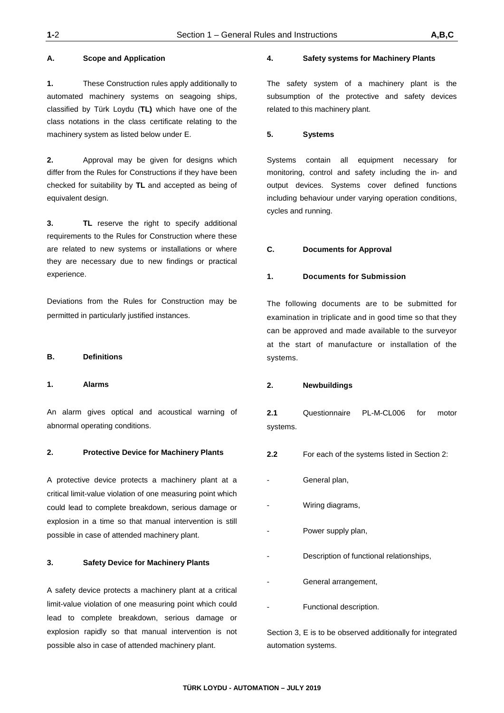**1.** These Construction rules apply additionally to automated machinery systems on seagoing ships, classified by Türk Loydu (**TL)** which have one of the class notations in the class certificate relating to the machinery system as listed below under E.

**2.** Approval may be given for designs which differ from the Rules for Constructions if they have been checked for suitability by **TL** and accepted as being of equivalent design.

**3. TL** reserve the right to specify additional requirements to the Rules for Construction where these are related to new systems or installations or where they are necessary due to new findings or practical experience.

Deviations from the Rules for Construction may be permitted in particularly justified instances.

### **B. Definitions**

#### **1. Alarms**

An alarm gives optical and acoustical warning of abnormal operating conditions.

#### **2. Protective Device for Machinery Plants**

A protective device protects a machinery plant at a critical limit-value violation of one measuring point which could lead to complete breakdown, serious damage or explosion in a time so that manual intervention is still possible in case of attended machinery plant.

#### **3. Safety Device for Machinery Plants**

A safety device protects a machinery plant at a critical limit-value violation of one measuring point which could lead to complete breakdown, serious damage or explosion rapidly so that manual intervention is not possible also in case of attended machinery plant.

#### **4. Safety systems for Machinery Plants**

The safety system of a machinery plant is the subsumption of the protective and safety devices related to this machinery plant.

#### **5. Systems**

Systems contain all equipment necessary for monitoring, control and safety including the in- and output devices. Systems cover defined functions including behaviour under varying operation conditions, cycles and running.

#### **C. Documents for Approval**

#### **1. Documents for Submission**

The following documents are to be submitted for examination in triplicate and in good time so that they can be approved and made available to the surveyor at the start of manufacture or installation of the systems.

#### **2. Newbuildings**

**2.1** Questionnaire PL-M-CL006 for motor systems.

- **2.2** For each of the systems listed in Section 2:
- General plan,
- Wiring diagrams,
- Power supply plan,
- Description of functional relationships.
- General arrangement,
- Functional description.

Section 3, E is to be observed additionally for integrated automation systems.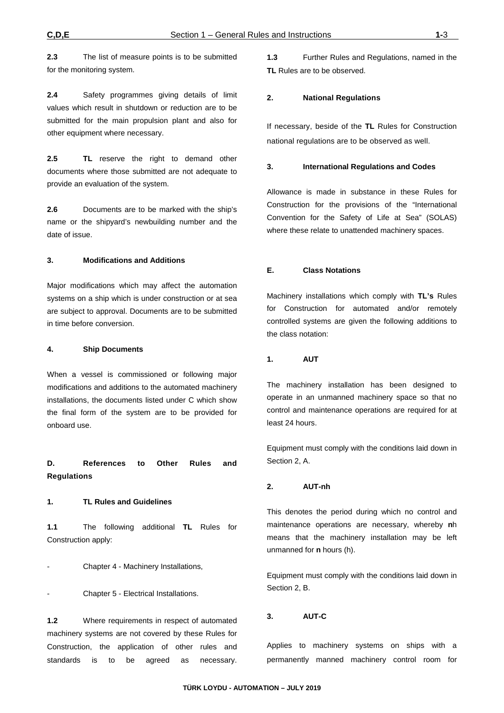**2.3** The list of measure points is to be submitted for the monitoring system.

**2.4** Safety programmes giving details of limit values which result in shutdown or reduction are to be submitted for the main propulsion plant and also for other equipment where necessary.

**2.5 TL** reserve the right to demand other documents where those submitted are not adequate to provide an evaluation of the system.

**2.6** Documents are to be marked with the ship's name or the shipyard's newbuilding number and the date of issue.

#### **3. Modifications and Additions**

Major modifications which may affect the automation systems on a ship which is under construction or at sea are subject to approval. Documents are to be submitted in time before conversion.

#### **4. Ship Documents**

When a vessel is commissioned or following major modifications and additions to the automated machinery installations, the documents listed under C which show the final form of the system are to be provided for onboard use.

**D. References to Other Rules and Regulations**

#### **1. TL Rules and Guidelines**

**1.1** The following additional **TL** Rules for Construction apply:

Chapter 4 - Machinery Installations,

- Chapter 5 - Electrical Installations.

**1.2** Where requirements in respect of automated machinery systems are not covered by these Rules for Construction, the application of other rules and standards is to be agreed as necessary.

**1.3** Further Rules and Regulations, named in the **TL** Rules are to be observed.

#### **2. National Regulations**

If necessary, beside of the **TL** Rules for Construction national regulations are to be observed as well.

#### **3. International Regulations and Codes**

Allowance is made in substance in these Rules for Construction for the provisions of the "International Convention for the Safety of Life at Sea" (SOLAS) where these relate to unattended machinery spaces.

#### **E. Class Notations**

Machinery installations which comply with **TL's** Rules for Construction for automated and/or remotely controlled systems are given the following additions to the class notation:

#### **1. AUT**

The machinery installation has been designed to operate in an unmanned machinery space so that no control and maintenance operations are required for at least 24 hours.

Equipment must comply with the conditions laid down in Section 2, A.

### **2. AUT-nh**

This denotes the period during which no control and maintenance operations are necessary, whereby **n**h means that the machinery installation may be left unmanned for **n** hours (h).

Equipment must comply with the conditions laid down in Section 2, B.

#### **3. AUT-C**

Applies to machinery systems on ships with a permanently manned machinery control room for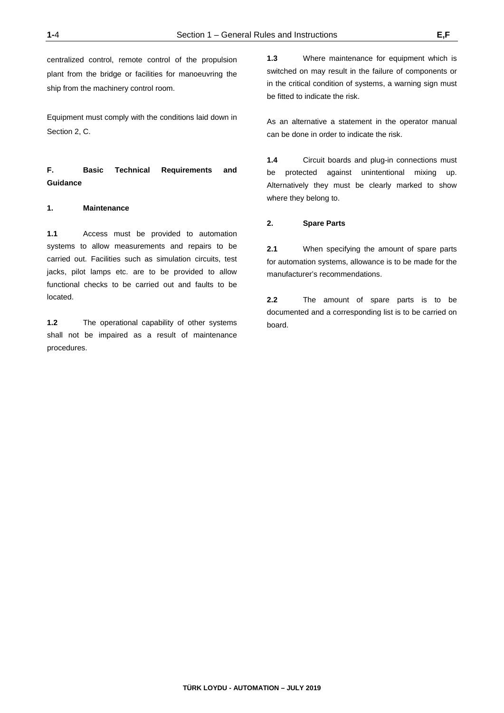centralized control, remote control of the propulsion plant from the bridge or facilities for manoeuvring the ship from the machinery control room.

Equipment must comply with the conditions laid down in Section 2, C.

## **F. Basic Technical Requirements and Guidance**

#### **1. Maintenance**

**1.1** Access must be provided to automation systems to allow measurements and repairs to be carried out. Facilities such as simulation circuits, test jacks, pilot lamps etc. are to be provided to allow functional checks to be carried out and faults to be located.

**1.2** The operational capability of other systems shall not be impaired as a result of maintenance procedures.

**1.3** Where maintenance for equipment which is switched on may result in the failure of components or in the critical condition of systems, a warning sign must be fitted to indicate the risk.

As an alternative a statement in the operator manual can be done in order to indicate the risk.

**1.4** Circuit boards and plug-in connections must be protected against unintentional mixing up. Alternatively they must be clearly marked to show where they belong to.

#### **2. Spare Parts**

**2.1** When specifying the amount of spare parts for automation systems, allowance is to be made for the manufacturer's recommendations.

**2.2** The amount of spare parts is to be documented and a corresponding list is to be carried on board.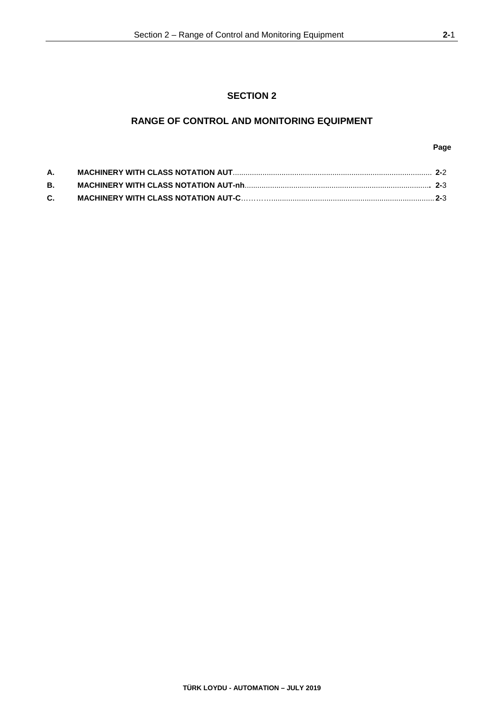## **RANGE OF CONTROL AND MONITORING EQUIPMENT**

### **Page**

| А. |  |
|----|--|
| В. |  |
| C. |  |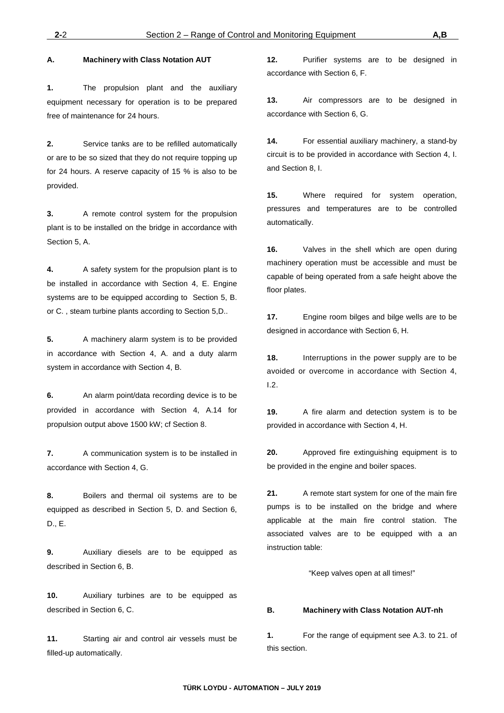**2.** Service tanks are to be refilled automatically or are to be so sized that they do not require topping up for 24 hours. A reserve capacity of 15 % is also to be provided.

**1.** The propulsion plant and the auxiliary equipment necessary for operation is to be prepared

**A. Machinery with Class Notation AUT**

free of maintenance for 24 hours.

**3.** A remote control system for the propulsion plant is to be installed on the bridge in accordance with Section 5, A.

**4.** A safety system for the propulsion plant is to be installed in accordance with Section 4, E. Engine systems are to be equipped according to Section 5, B. or C. , steam turbine plants according to Section 5,D..

**5.** A machinery alarm system is to be provided in accordance with Section 4, A. and a duty alarm system in accordance with Section 4, B.

**6.** An alarm point/data recording device is to be provided in accordance with Section 4, A.14 for propulsion output above 1500 kW; cf Section 8.

**7.** A communication system is to be installed in accordance with Section 4, G.

**8.** Boilers and thermal oil systems are to be equipped as described in Section 5, D. and Section 6, D., E.

**9.** Auxiliary diesels are to be equipped as described in Section 6, B.

**10.** Auxiliary turbines are to be equipped as described in Section 6, C.

**11.** Starting air and control air vessels must be filled-up automatically.

**12.** Purifier systems are to be designed in accordance with Section 6, F.

**13.** Air compressors are to be designed in accordance with Section 6, G.

**14.** For essential auxiliary machinery, a stand-by circuit is to be provided in accordance with Section 4, I. and Section 8, I.

**15.** Where required for system operation, pressures and temperatures are to be controlled automatically.

**16.** Valves in the shell which are open during machinery operation must be accessible and must be capable of being operated from a safe height above the floor plates.

**17.** Engine room bilges and bilge wells are to be designed in accordance with Section 6, H.

**18.** Interruptions in the power supply are to be avoided or overcome in accordance with Section 4, I.2.

**19.** A fire alarm and detection system is to be provided in accordance with Section 4, H.

**20.** Approved fire extinguishing equipment is to be provided in the engine and boiler spaces.

**21.** A remote start system for one of the main fire pumps is to be installed on the bridge and where applicable at the main fire control station. The associated valves are to be equipped with a an instruction table:

"Keep valves open at all times!"

#### **B. Machinery with Class Notation AUT-nh**

**1.** For the range of equipment see A.3. to 21. of this section.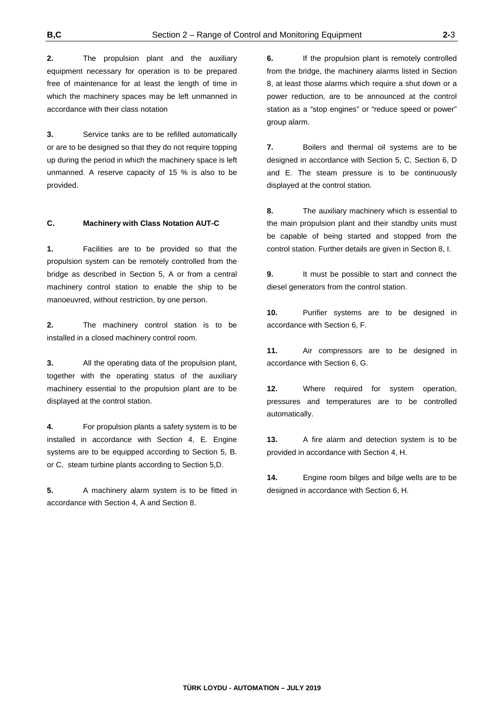**2.** The propulsion plant and the auxiliary equipment necessary for operation is to be prepared free of maintenance for at least the length of time in which the machinery spaces may be left unmanned in accordance with their class notation

**3.** Service tanks are to be refilled automatically or are to be designed so that they do not require topping up during the period in which the machinery space is left unmanned. A reserve capacity of 15 % is also to be provided.

#### **C. Machinery with Class Notation AUT-C**

**1.** Facilities are to be provided so that the propulsion system can be remotely controlled from the bridge as described in Section 5, A or from a central machinery control station to enable the ship to be manoeuvred, without restriction, by one person.

**2.** The machinery control station is to be installed in a closed machinery control room.

**3.** All the operating data of the propulsion plant, together with the operating status of the auxiliary machinery essential to the propulsion plant are to be displayed at the control station.

**4.** For propulsion plants a safety system is to be installed in accordance with Section 4, E. Engine systems are to be equipped according to Section 5, B. or C, steam turbine plants according to Section 5,D.

**5.** A machinery alarm system is to be fitted in accordance with Section 4, A and Section 8.

**6.** If the propulsion plant is remotely controlled from the bridge, the machinery alarms listed in Section 8, at least those alarms which require a shut down or a power reduction, are to be announced at the control station as a "stop engines" or "reduce speed or power" group alarm.

**7.** Boilers and thermal oil systems are to be designed in accordance with Section 5, C, Section 6, D and E. The steam pressure is to be continuously displayed at the control station.

**8.** The auxiliary machinery which is essential to the main propulsion plant and their standby units must be capable of being started and stopped from the control station. Further details are given in Section 8, I.

**9.** It must be possible to start and connect the diesel generators from the control station.

**10.** Purifier systems are to be designed in accordance with Section 6, F.

**11.** Air compressors are to be designed in accordance with Section 6, G.

**12.** Where required for system operation, pressures and temperatures are to be controlled automatically.

**13.** A fire alarm and detection system is to be provided in accordance with Section 4, H.

**14.** Engine room bilges and bilge wells are to be designed in accordance with Section 6, H.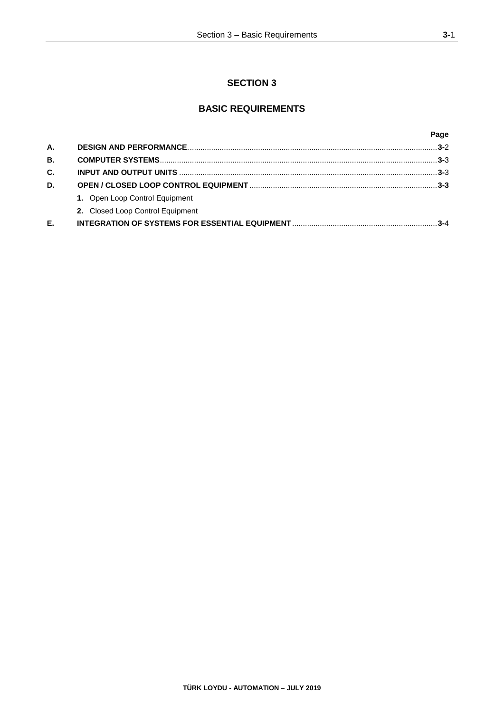## **SECTION 3**

## **BASIC REQUIREMENTS**

|           |                                  | Page    |
|-----------|----------------------------------|---------|
| Α.        |                                  |         |
| <b>B.</b> |                                  |         |
| C.        |                                  | $3-3$   |
| D.        |                                  |         |
|           | 1. Open Loop Control Equipment   |         |
|           | 2. Closed Loop Control Equipment |         |
| Е.        |                                  | $3 - 4$ |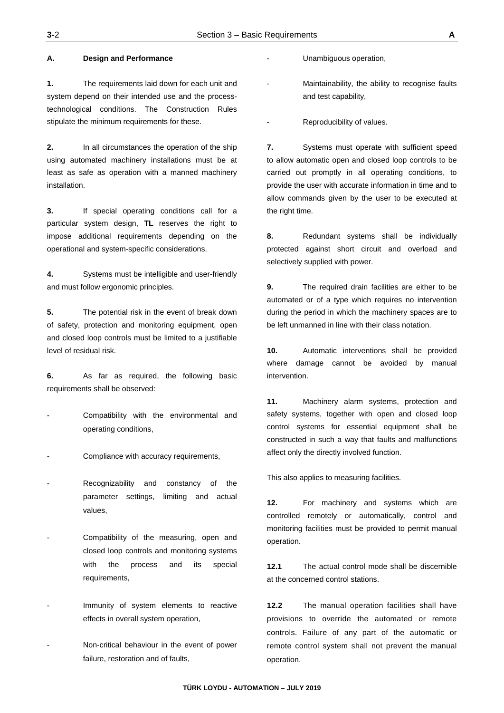#### **A. Design and Performance**

**1.** The requirements laid down for each unit and system depend on their intended use and the processtechnological conditions. The Construction Rules stipulate the minimum requirements for these.

**2.** In all circumstances the operation of the ship using automated machinery installations must be at least as safe as operation with a manned machinery installation.

**3.** If special operating conditions call for a particular system design, **TL** reserves the right to impose additional requirements depending on the operational and system-specific considerations.

**4.** Systems must be intelligible and user-friendly and must follow ergonomic principles.

**5.** The potential risk in the event of break down of safety, protection and monitoring equipment, open and closed loop controls must be limited to a justifiable level of residual risk.

**6.** As far as required, the following basic requirements shall be observed:

- Compatibility with the environmental and operating conditions,
- Compliance with accuracy requirements,
- Recognizability and constancy of the parameter settings, limiting and actual values,
- Compatibility of the measuring, open and closed loop controls and monitoring systems with the process and its special requirements,
- Immunity of system elements to reactive effects in overall system operation,
- Non-critical behaviour in the event of power failure, restoration and of faults,

Unambiguous operation,

Maintainability, the ability to recognise faults and test capability,

Reproducibility of values.

**7.** Systems must operate with sufficient speed to allow automatic open and closed loop controls to be carried out promptly in all operating conditions, to provide the user with accurate information in time and to allow commands given by the user to be executed at the right time.

**8.** Redundant systems shall be individually protected against short circuit and overload and selectively supplied with power.

**9.** The required drain facilities are either to be automated or of a type which requires no intervention during the period in which the machinery spaces are to be left unmanned in line with their class notation.

**10.** Automatic interventions shall be provided where damage cannot be avoided by manual intervention.

**11.** Machinery alarm systems, protection and safety systems, together with open and closed loop control systems for essential equipment shall be constructed in such a way that faults and malfunctions affect only the directly involved function.

This also applies to measuring facilities.

**12.** For machinery and systems which are controlled remotely or automatically, control and monitoring facilities must be provided to permit manual operation.

**12.1** The actual control mode shall be discernible at the concerned control stations.

**12.2** The manual operation facilities shall have provisions to override the automated or remote controls. Failure of any part of the automatic or remote control system shall not prevent the manual operation.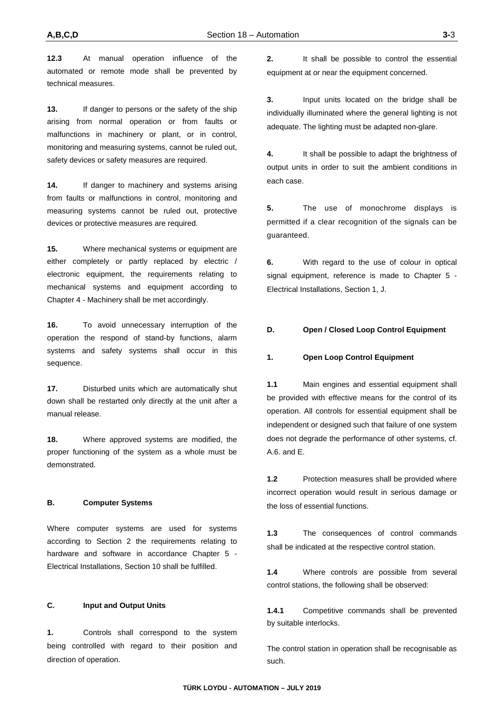**12.3** At manual operation influence of the automated or remote mode shall be prevented by technical measures.

**13.** If danger to persons or the safety of the ship arising from normal operation or from faults or malfunctions in machinery or plant, or in control, monitoring and measuring systems, cannot be ruled out, safety devices or safety measures are required.

14. If danger to machinery and systems arising from faults or malfunctions in control, monitoring and measuring systems cannot be ruled out, protective devices or protective measures are required.

**15.** Where mechanical systems or equipment are either completely or partly replaced by electric / electronic equipment, the requirements relating to mechanical systems and equipment according to Chapter 4 - Machinery shall be met accordingly.

**16.** To avoid unnecessary interruption of the operation the respond of stand-by functions, alarm systems and safety systems shall occur in this sequence.

**17.** Disturbed units which are automatically shut down shall be restarted only directly at the unit after a manual release.

**18.** Where approved systems are modified, the proper functioning of the system as a whole must be demonstrated.

### **B. Computer Systems**

Where computer systems are used for systems according to Section 2 the requirements relating to hardware and software in accordance Chapter 5 - Electrical Installations, Section 10 shall be fulfilled.

#### **C. Input and Output Units**

**1.** Controls shall correspond to the system being controlled with regard to their position and direction of operation.

**2.** It shall be possible to control the essential equipment at or near the equipment concerned.

**3.** Input units located on the bridge shall be individually illuminated where the general lighting is not adequate. The lighting must be adapted non-glare.

**4.** It shall be possible to adapt the brightness of output units in order to suit the ambient conditions in each case.

**5.** The use of monochrome displays is permitted if a clear recognition of the signals can be guaranteed.

**6.** With regard to the use of colour in optical signal equipment, reference is made to Chapter 5 - Electrical Installations, Section 1, J.

#### **D. Open / Closed Loop Control Equipment**

#### **1. Open Loop Control Equipment**

**1.1** Main engines and essential equipment shall be provided with effective means for the control of its operation. All controls for essential equipment shall be independent or designed such that failure of one system does not degrade the performance of other systems, cf. A.6. and E.

**1.2** Protection measures shall be provided where incorrect operation would result in serious damage or the loss of essential functions.

**1.3** The consequences of control commands shall be indicated at the respective control station.

**1.4** Where controls are possible from several control stations, the following shall be observed:

**1.4.1** Competitive commands shall be prevented by suitable interlocks.

The control station in operation shall be recognisable as such.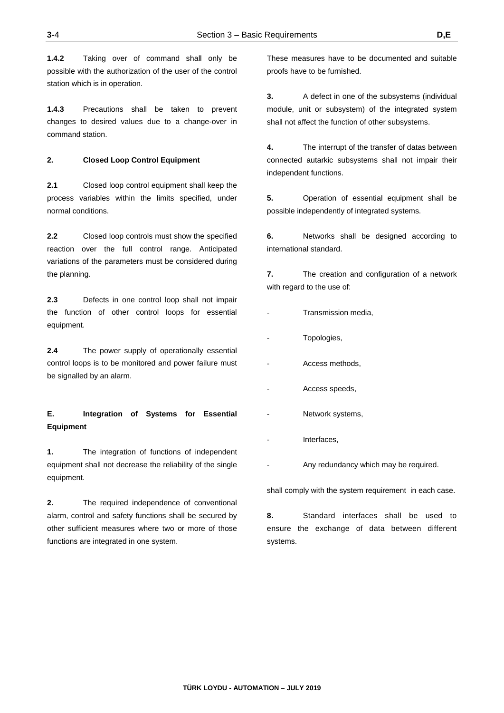**1.4.2** Taking over of command shall only be possible with the authorization of the user of the control station which is in operation.

**1.4.3** Precautions shall be taken to prevent changes to desired values due to a change-over in command station.

#### **2. Closed Loop Control Equipment**

**2.1** Closed loop control equipment shall keep the process variables within the limits specified, under normal conditions.

**2.2** Closed loop controls must show the specified reaction over the full control range. Anticipated variations of the parameters must be considered during the planning.

**2.3** Defects in one control loop shall not impair the function of other control loops for essential equipment.

**2.4** The power supply of operationally essential control loops is to be monitored and power failure must be signalled by an alarm.

## **E. Integration of Systems for Essential Equipment**

**1.** The integration of functions of independent equipment shall not decrease the reliability of the single equipment.

**2.** The required independence of conventional alarm, control and safety functions shall be secured by other sufficient measures where two or more of those functions are integrated in one system.

These measures have to be documented and suitable proofs have to be furnished.

**3.** A defect in one of the subsystems (individual module, unit or subsystem) of the integrated system shall not affect the function of other subsystems.

**4.** The interrupt of the transfer of datas between connected autarkic subsystems shall not impair their independent functions.

**5.** Operation of essential equipment shall be possible independently of integrated systems.

**6.** Networks shall be designed according to international standard.

**7.** The creation and configuration of a network with regard to the use of:

- Transmission media.
- Topologies,
- Access methods.
- Access speeds,
- Network systems,
- Interfaces,
	- Any redundancy which may be required.

shall comply with the system requirement in each case.

**8.** Standard interfaces shall be used to ensure the exchange of data between different systems.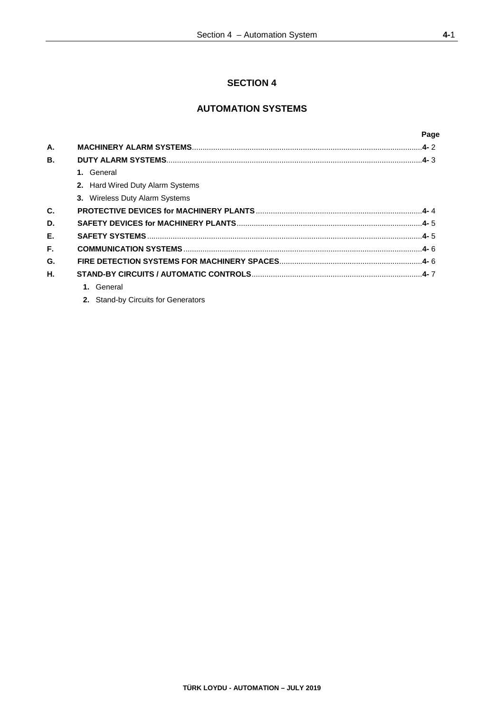## **SECTION 4**

## **AUTOMATION SYSTEMS**

|    |                                  | Page |
|----|----------------------------------|------|
| А. |                                  |      |
| В. |                                  |      |
|    | 1. General                       |      |
|    | 2. Hard Wired Duty Alarm Systems |      |
|    | 3. Wireless Duty Alarm Systems   |      |
| C. |                                  |      |
| D. |                                  |      |
| Е. |                                  |      |
| F. |                                  |      |
| G. |                                  |      |
| Η. |                                  |      |
|    | 1. General                       |      |
|    |                                  |      |

**2.** Stand-by Circuits for Generators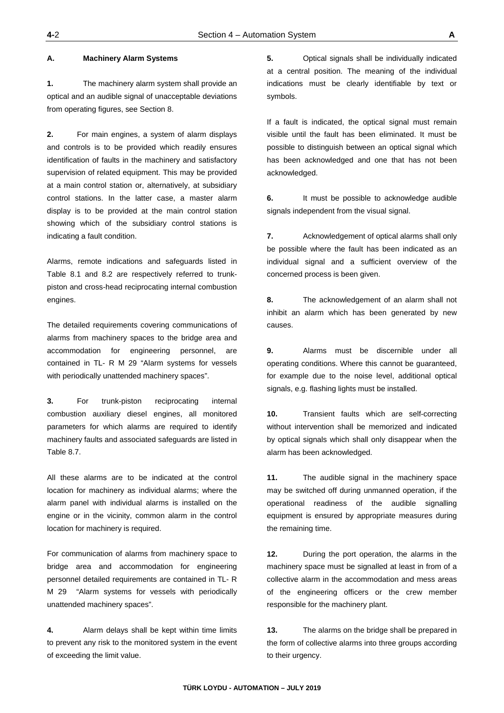#### **A. Machinery Alarm Systems**

**1.** The machinery alarm system shall provide an optical and an audible signal of unacceptable deviations from operating figures, see Section 8.

**2.** For main engines, a system of alarm displays and controls is to be provided which readily ensures identification of faults in the machinery and satisfactory supervision of related equipment. This may be provided at a main control station or, alternatively, at subsidiary control stations. In the latter case, a master alarm display is to be provided at the main control station showing which of the subsidiary control stations is indicating a fault condition.

Alarms, remote indications and safeguards listed in Table 8.1 and 8.2 are respectively referred to trunkpiston and cross-head reciprocating internal combustion engines.

The detailed requirements covering communications of alarms from machinery spaces to the bridge area and accommodation for engineering personnel, are contained in TL- R M 29 "Alarm systems for vessels with periodically unattended machinery spaces".

**3.** For trunk-piston reciprocating internal combustion auxiliary diesel engines, all monitored parameters for which alarms are required to identify machinery faults and associated safeguards are listed in Table 8.7.

All these alarms are to be indicated at the control location for machinery as individual alarms; where the alarm panel with individual alarms is installed on the engine or in the vicinity, common alarm in the control location for machinery is required.

For communication of alarms from machinery space to bridge area and accommodation for engineering personnel detailed requirements are contained in TL- R M 29 "Alarm systems for vessels with periodically unattended machinery spaces".

**4.** Alarm delays shall be kept within time limits to prevent any risk to the monitored system in the event of exceeding the limit value.

**5.** Optical signals shall be individually indicated at a central position. The meaning of the individual indications must be clearly identifiable by text or symbols.

If a fault is indicated, the optical signal must remain visible until the fault has been eliminated. It must be possible to distinguish between an optical signal which has been acknowledged and one that has not been acknowledged.

**6.** It must be possible to acknowledge audible signals independent from the visual signal.

**7.** Acknowledgement of optical alarms shall only be possible where the fault has been indicated as an individual signal and a sufficient overview of the concerned process is been given.

**8.** The acknowledgement of an alarm shall not inhibit an alarm which has been generated by new causes.

**9.** Alarms must be discernible under all operating conditions. Where this cannot be guaranteed, for example due to the noise level, additional optical signals, e.g. flashing lights must be installed.

**10.** Transient faults which are self-correcting without intervention shall be memorized and indicated by optical signals which shall only disappear when the alarm has been acknowledged.

**11.** The audible signal in the machinery space may be switched off during unmanned operation, if the operational readiness of the audible signalling equipment is ensured by appropriate measures during the remaining time.

**12.** During the port operation, the alarms in the machinery space must be signalled at least in from of a collective alarm in the accommodation and mess areas of the engineering officers or the crew member responsible for the machinery plant.

**13.** The alarms on the bridge shall be prepared in the form of collective alarms into three groups according to their urgency.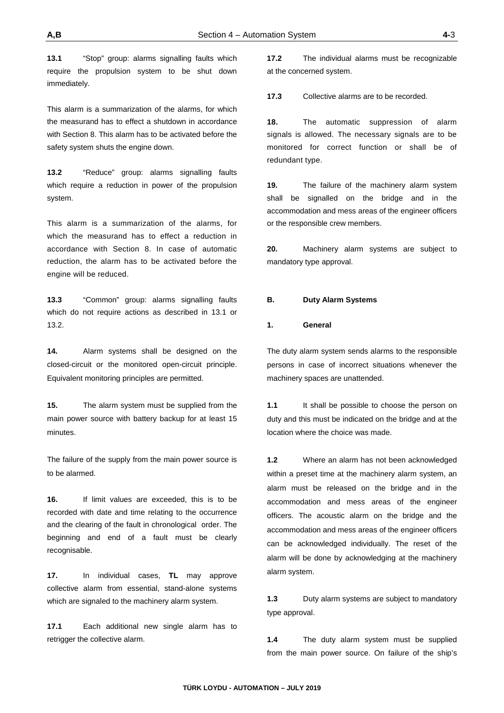**13.1** "Stop" group: alarms signalling faults which require the propulsion system to be shut down immediately.

This alarm is a summarization of the alarms, for which the measurand has to effect a shutdown in accordance with Section 8. This alarm has to be activated before the safety system shuts the engine down.

**13.2** "Reduce" group: alarms signalling faults which require a reduction in power of the propulsion system.

This alarm is a summarization of the alarms, for which the measurand has to effect a reduction in accordance with Section 8. In case of automatic reduction, the alarm has to be activated before the engine will be reduced.

**13.3** "Common" group: alarms signalling faults which do not require actions as described in 13.1 or 13.2.

**14.** Alarm systems shall be designed on the closed-circuit or the monitored open-circuit principle. Equivalent monitoring principles are permitted.

**15.** The alarm system must be supplied from the main power source with battery backup for at least 15 minutes.

The failure of the supply from the main power source is to be alarmed.

**16.** If limit values are exceeded, this is to be recorded with date and time relating to the occurrence and the clearing of the fault in chronological order. The beginning and end of a fault must be clearly recognisable.

**17.** In individual cases, **TL** may approve collective alarm from essential, stand-alone systems which are signaled to the machinery alarm system.

**17.1** Each additional new single alarm has to retrigger the collective alarm.

**17.2** The individual alarms must be recognizable at the concerned system.

**17.3** Collective alarms are to be recorded.

**18.** The automatic suppression of alarm signals is allowed. The necessary signals are to be monitored for correct function or shall be of redundant type.

**19.** The failure of the machinery alarm system shall be signalled on the bridge and in the accommodation and mess areas of the engineer officers or the responsible crew members.

**20.** Machinery alarm systems are subject to mandatory type approval.

#### **B. Duty Alarm Systems**

#### **1. General**

The duty alarm system sends alarms to the responsible persons in case of incorrect situations whenever the machinery spaces are unattended.

**1.1** It shall be possible to choose the person on duty and this must be indicated on the bridge and at the location where the choice was made.

**1.2** Where an alarm has not been acknowledged within a preset time at the machinery alarm system, an alarm must be released on the bridge and in the accommodation and mess areas of the engineer officers. The acoustic alarm on the bridge and the accommodation and mess areas of the engineer officers can be acknowledged individually. The reset of the alarm will be done by acknowledging at the machinery alarm system.

**1.3** Duty alarm systems are subject to mandatory type approval.

**1.4** The duty alarm system must be supplied from the main power source. On failure of the ship's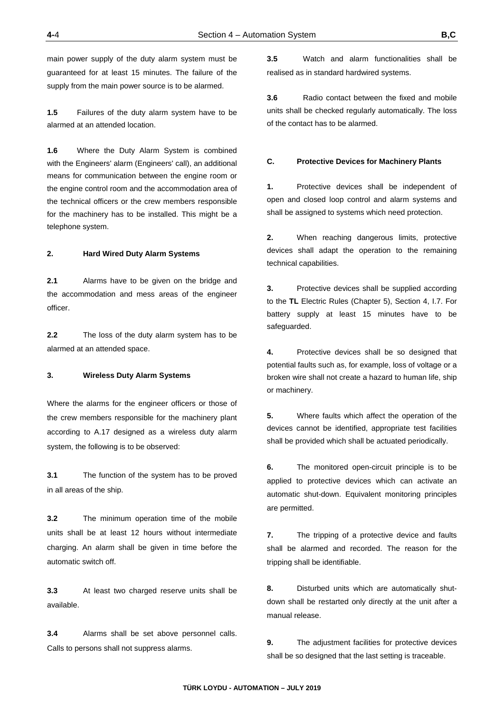main power supply of the duty alarm system must be guaranteed for at least 15 minutes. The failure of the supply from the main power source is to be alarmed.

**1.5** Failures of the duty alarm system have to be alarmed at an attended location.

**1.6** Where the Duty Alarm System is combined with the Engineers' alarm (Engineers' call), an additional means for communication between the engine room or the engine control room and the accommodation area of the technical officers or the crew members responsible for the machinery has to be installed. This might be a telephone system.

#### **2. Hard Wired Duty Alarm Systems**

**2.1** Alarms have to be given on the bridge and the accommodation and mess areas of the engineer officer.

**2.2** The loss of the duty alarm system has to be alarmed at an attended space.

#### **3. Wireless Duty Alarm Systems**

Where the alarms for the engineer officers or those of the crew members responsible for the machinery plant according to A.17 designed as a wireless duty alarm system, the following is to be observed:

**3.1** The function of the system has to be proved in all areas of the ship.

**3.2** The minimum operation time of the mobile units shall be at least 12 hours without intermediate charging. An alarm shall be given in time before the automatic switch off.

**3.3** At least two charged reserve units shall be available.

**3.4** Alarms shall be set above personnel calls. Calls to persons shall not suppress alarms.

**3.5** Watch and alarm functionalities shall be realised as in standard hardwired systems.

**3.6** Radio contact between the fixed and mobile units shall be checked regularly automatically. The loss of the contact has to be alarmed.

#### **C. Protective Devices for Machinery Plants**

**1.** Protective devices shall be independent of open and closed loop control and alarm systems and shall be assigned to systems which need protection.

**2.** When reaching dangerous limits, protective devices shall adapt the operation to the remaining technical capabilities.

**3.** Protective devices shall be supplied according to the **TL** Electric Rules (Chapter 5), Section 4, I.7. For battery supply at least 15 minutes have to be safeguarded.

**4.** Protective devices shall be so designed that potential faults such as, for example, loss of voltage or a broken wire shall not create a hazard to human life, ship or machinery.

**5.** Where faults which affect the operation of the devices cannot be identified, appropriate test facilities shall be provided which shall be actuated periodically.

**6.** The monitored open-circuit principle is to be applied to protective devices which can activate an automatic shut-down. Equivalent monitoring principles are permitted.

**7.** The tripping of a protective device and faults shall be alarmed and recorded. The reason for the tripping shall be identifiable.

**8.** Disturbed units which are automatically shutdown shall be restarted only directly at the unit after a manual release.

**9.** The adjustment facilities for protective devices shall be so designed that the last setting is traceable.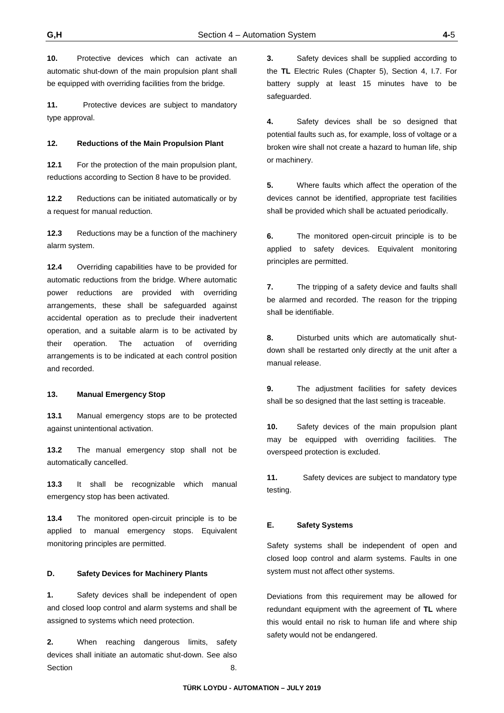**10.** Protective devices which can activate an automatic shut-down of the main propulsion plant shall be equipped with overriding facilities from the bridge.

**11.** Protective devices are subject to mandatory type approval.

#### **12. Reductions of the Main Propulsion Plant**

**12.1** For the protection of the main propulsion plant, reductions according to Section 8 have to be provided.

12.2 Reductions can be initiated automatically or by a request for manual reduction.

**12.3** Reductions may be a function of the machinery alarm system.

**12.4** Overriding capabilities have to be provided for automatic reductions from the bridge. Where automatic power reductions are provided with overriding arrangements, these shall be safeguarded against accidental operation as to preclude their inadvertent operation, and a suitable alarm is to be activated by their operation. The actuation of overriding arrangements is to be indicated at each control position and recorded.

#### **13. Manual Emergency Stop**

**13.1** Manual emergency stops are to be protected against unintentional activation.

**13.2** The manual emergency stop shall not be automatically cancelled.

**13.3** It shall be recognizable which manual emergency stop has been activated.

**13.4** The monitored open-circuit principle is to be applied to manual emergency stops. Equivalent monitoring principles are permitted.

#### **D. Safety Devices for Machinery Plants**

**1.** Safety devices shall be independent of open and closed loop control and alarm systems and shall be assigned to systems which need protection.

**2.** When reaching dangerous limits, safety devices shall initiate an automatic shut-down. See also Section 8.

**3.** Safety devices shall be supplied according to the **TL** Electric Rules (Chapter 5), Section 4, I.7. For battery supply at least 15 minutes have to be safeguarded.

**4.** Safety devices shall be so designed that potential faults such as, for example, loss of voltage or a broken wire shall not create a hazard to human life, ship or machinery.

**5.** Where faults which affect the operation of the devices cannot be identified, appropriate test facilities shall be provided which shall be actuated periodically.

**6.** The monitored open-circuit principle is to be applied to safety devices. Equivalent monitoring principles are permitted.

**7.** The tripping of a safety device and faults shall be alarmed and recorded. The reason for the tripping shall be identifiable.

**8.** Disturbed units which are automatically shutdown shall be restarted only directly at the unit after a manual release.

**9.** The adjustment facilities for safety devices shall be so designed that the last setting is traceable.

**10.** Safety devices of the main propulsion plant may be equipped with overriding facilities. The overspeed protection is excluded.

**11.** Safety devices are subject to mandatory type testing.

#### **E. Safety Systems**

Safety systems shall be independent of open and closed loop control and alarm systems. Faults in one system must not affect other systems.

Deviations from this requirement may be allowed for redundant equipment with the agreement of **TL** where this would entail no risk to human life and where ship safety would not be endangered.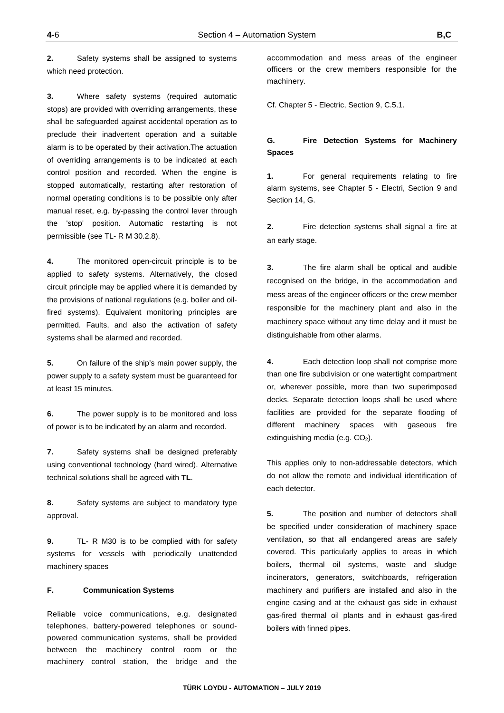**2.** Safety systems shall be assigned to systems which need protection.

**3.** Where safety systems (required automatic stops) are provided with overriding arrangements, these shall be safeguarded against accidental operation as to preclude their inadvertent operation and a suitable alarm is to be operated by their activation.The actuation of overriding arrangements is to be indicated at each control position and recorded. When the engine is stopped automatically, restarting after restoration of normal operating conditions is to be possible only after manual reset, e.g. by-passing the control lever through the 'stop' position. Automatic restarting is not permissible (see TL- R M 30.2.8).

**4.** The monitored open-circuit principle is to be applied to safety systems. Alternatively, the closed circuit principle may be applied where it is demanded by the provisions of national regulations (e.g. boiler and oilfired systems). Equivalent monitoring principles are permitted. Faults, and also the activation of safety systems shall be alarmed and recorded.

**5.** On failure of the ship's main power supply, the power supply to a safety system must be guaranteed for at least 15 minutes.

**6.** The power supply is to be monitored and loss of power is to be indicated by an alarm and recorded.

**7.** Safety systems shall be designed preferably using conventional technology (hard wired). Alternative technical solutions shall be agreed with **TL**.

**8.** Safety systems are subject to mandatory type approval.

**9.** TL- R M30 is to be complied with for safety systems for vessels with periodically unattended machinery spaces

### **F. Communication Systems**

Reliable voice communications, e.g. designated telephones, battery-powered telephones or soundpowered communication systems, shall be provided between the machinery control room or the machinery control station, the bridge and the

accommodation and mess areas of the engineer officers or the crew members responsible for the machinery.

Cf. Chapter 5 - Electric, Section 9, C.5.1.

### **G. Fire Detection Systems for Machinery Spaces**

**1.** For general requirements relating to fire alarm systems, see Chapter 5 - Electri, Section 9 and Section 14, G.

**2.** Fire detection systems shall signal a fire at an early stage.

**3.** The fire alarm shall be optical and audible recognised on the bridge, in the accommodation and mess areas of the engineer officers or the crew member responsible for the machinery plant and also in the machinery space without any time delay and it must be distinguishable from other alarms.

**4.** Each detection loop shall not comprise more than one fire subdivision or one watertight compartment or, wherever possible, more than two superimposed decks. Separate detection loops shall be used where facilities are provided for the separate flooding of different machinery spaces with gaseous fire extinguishing media (e.g. CO<sub>2</sub>).

This applies only to non-addressable detectors, which do not allow the remote and individual identification of each detector.

**5.** The position and number of detectors shall be specified under consideration of machinery space ventilation, so that all endangered areas are safely covered. This particularly applies to areas in which boilers, thermal oil systems, waste and sludge incinerators, generators, switchboards, refrigeration machinery and purifiers are installed and also in the engine casing and at the exhaust gas side in exhaust gas-fired thermal oil plants and in exhaust gas-fired boilers with finned pipes.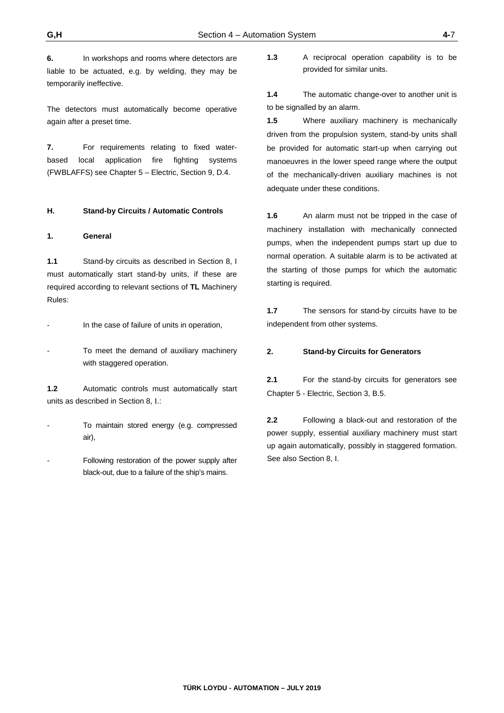**6.** In workshops and rooms where detectors are liable to be actuated, e.g. by welding, they may be temporarily ineffective.

The detectors must automatically become operative again after a preset time.

**7.** For requirements relating to fixed waterbased local application fire fighting systems (FWBLAFFS) see Chapter 5 – Electric, Section 9, D.4.

#### **H. Stand-by Circuits / Automatic Controls**

#### **1. General**

**1.1** Stand-by circuits as described in Section 8, I must automatically start stand-by units, if these are required according to relevant sections of **TL** Machinery Rules:

In the case of failure of units in operation,

To meet the demand of auxiliary machinery with staggered operation.

**1.2** Automatic controls must automatically start units as described in Section 8, I.:

To maintain stored energy (e.g. compressed air),

Following restoration of the power supply after black-out, due to a failure of the ship's mains.

**1.3** A reciprocal operation capability is to be provided for similar units.

**1.4** The automatic change-over to another unit is to be signalled by an alarm.

**1.5** Where auxiliary machinery is mechanically driven from the propulsion system, stand-by units shall be provided for automatic start-up when carrying out manoeuvres in the lower speed range where the output of the mechanically-driven auxiliary machines is not adequate under these conditions.

**1.6** An alarm must not be tripped in the case of machinery installation with mechanically connected pumps, when the independent pumps start up due to normal operation. A suitable alarm is to be activated at the starting of those pumps for which the automatic starting is required.

**1.7** The sensors for stand-by circuits have to be independent from other systems.

#### **2. Stand-by Circuits for Generators**

**2.1** For the stand-by circuits for generators see Chapter 5 - Electric, Section 3, B.5.

**2.2** Following a black-out and restoration of the power supply, essential auxiliary machinery must start up again automatically, possibly in staggered formation. See also Section 8, I.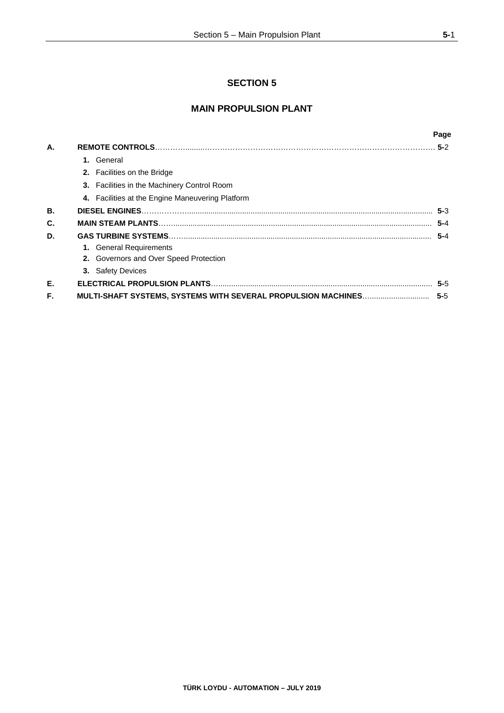## **SECTION 5**

## **MAIN PROPULSION PLANT**

|    |                                                               | Page    |
|----|---------------------------------------------------------------|---------|
| А. |                                                               |         |
|    | 1. General                                                    |         |
|    | <b>2.</b> Facilities on the Bridge                            |         |
|    | 3. Facilities in the Machinery Control Room                   |         |
|    | 4. Facilities at the Engine Maneuvering Platform              |         |
| В. |                                                               | $5-3$   |
| C. |                                                               | $5 - 4$ |
| D. |                                                               | $5 - 4$ |
|    | 1. General Requirements                                       |         |
|    | 2. Governors and Over Speed Protection                        |         |
|    | 3. Safety Devices                                             |         |
| Е. |                                                               | $5 - 5$ |
| F. | MULTI-SHAFT SYSTEMS, SYSTEMS WITH SEVERAL PROPULSION MACHINES | $5 - 5$ |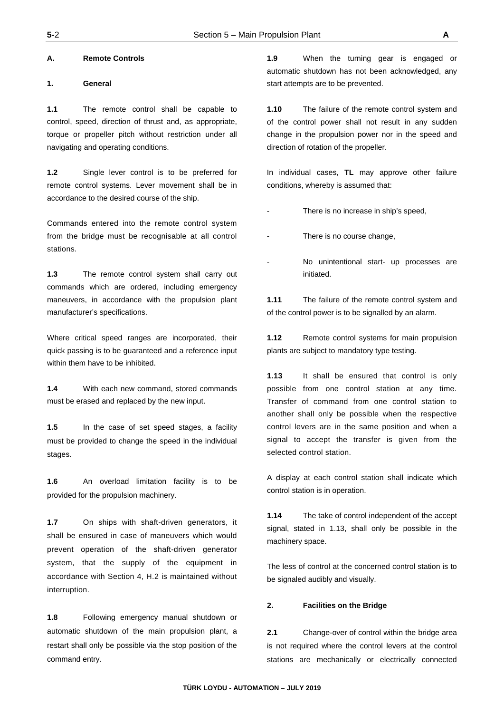#### **A. Remote Controls**

#### **1. General**

**1.1** The remote control shall be capable to control, speed, direction of thrust and, as appropriate, torque or propeller pitch without restriction under all navigating and operating conditions.

**1.2** Single lever control is to be preferred for remote control systems. Lever movement shall be in accordance to the desired course of the ship.

Commands entered into the remote control system from the bridge must be recognisable at all control stations.

**1.3** The remote control system shall carry out commands which are ordered, including emergency maneuvers, in accordance with the propulsion plant manufacturer's specifications.

Where critical speed ranges are incorporated, their quick passing is to be guaranteed and a reference input within them have to be inhibited.

**1.4** With each new command, stored commands must be erased and replaced by the new input.

**1.5** In the case of set speed stages, a facility must be provided to change the speed in the individual stages.

**1.6** An overload limitation facility is to be provided for the propulsion machinery.

**1.7** On ships with shaft-driven generators, it shall be ensured in case of maneuvers which would prevent operation of the shaft-driven generator system, that the supply of the equipment in accordance with Section 4, H.2 is maintained without interruption.

**1.8** Following emergency manual shutdown or automatic shutdown of the main propulsion plant, a restart shall only be possible via the stop position of the command entry.

**1.9** When the turning gear is engaged or automatic shutdown has not been acknowledged, any start attempts are to be prevented.

**1.10** The failure of the remote control system and of the control power shall not result in any sudden change in the propulsion power nor in the speed and direction of rotation of the propeller.

In individual cases, **TL** may approve other failure conditions, whereby is assumed that:

- There is no increase in ship's speed,
- There is no course change,
- No unintentional start- up processes are initiated.

**1.11** The failure of the remote control system and of the control power is to be signalled by an alarm.

**1.12** Remote control systems for main propulsion plants are subject to mandatory type testing.

**1.13** It shall be ensured that control is only possible from one control station at any time. Transfer of command from one control station to another shall only be possible when the respective control levers are in the same position and when a signal to accept the transfer is given from the selected control station.

A display at each control station shall indicate which control station is in operation.

**1.14** The take of control independent of the accept signal, stated in 1.13, shall only be possible in the machinery space.

The less of control at the concerned control station is to be signaled audibly and visually.

#### **2. Facilities on the Bridge**

**2.1** Change-over of control within the bridge area is not required where the control levers at the control stations are mechanically or electrically connected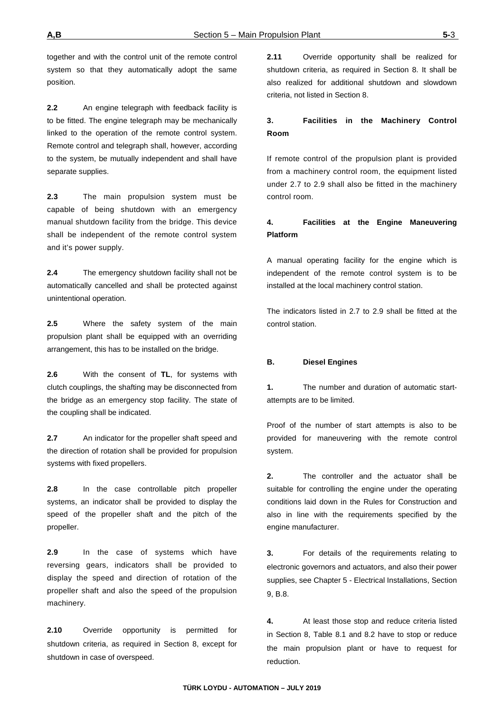together and with the control unit of the remote control system so that they automatically adopt the same position.

**2.2** An engine telegraph with feedback facility is to be fitted. The engine telegraph may be mechanically linked to the operation of the remote control system. Remote control and telegraph shall, however, according to the system, be mutually independent and shall have separate supplies.

**2.3** The main propulsion system must be capable of being shutdown with an emergency manual shutdown facility from the bridge. This device shall be independent of the remote control system and it's power supply.

**2.4** The emergency shutdown facility shall not be automatically cancelled and shall be protected against unintentional operation.

**2.5** Where the safety system of the main propulsion plant shall be equipped with an overriding arrangement, this has to be installed on the bridge.

**2.6** With the consent of **TL**, for systems with clutch couplings, the shafting may be disconnected from the bridge as an emergency stop facility. The state of the coupling shall be indicated.

**2.7** An indicator for the propeller shaft speed and the direction of rotation shall be provided for propulsion systems with fixed propellers.

**2.8** In the case controllable pitch propeller systems, an indicator shall be provided to display the speed of the propeller shaft and the pitch of the propeller.

**2.9** In the case of systems which have reversing gears, indicators shall be provided to display the speed and direction of rotation of the propeller shaft and also the speed of the propulsion machinery.

**2.10** Override opportunity is permitted for shutdown criteria, as required in Section 8, except for shutdown in case of overspeed.

**2.11** Override opportunity shall be realized for shutdown criteria, as required in Section 8. It shall be also realized for additional shutdown and slowdown criteria, not listed in Section 8.

## **3. Facilities in the Machinery Control Room**

If remote control of the propulsion plant is provided from a machinery control room, the equipment listed under 2.7 to 2.9 shall also be fitted in the machinery control room.

### **4. Facilities at the Engine Maneuvering Platform**

A manual operating facility for the engine which is independent of the remote control system is to be installed at the local machinery control station.

The indicators listed in 2.7 to 2.9 shall be fitted at the control station.

### **B. Diesel Engines**

**1.** The number and duration of automatic startattempts are to be limited.

Proof of the number of start attempts is also to be provided for maneuvering with the remote control system.

**2.** The controller and the actuator shall be suitable for controlling the engine under the operating conditions laid down in the Rules for Construction and also in line with the requirements specified by the engine manufacturer.

**3.** For details of the requirements relating to electronic governors and actuators, and also their power supplies, see Chapter 5 - Electrical Installations, Section 9, B.8.

**4.** At least those stop and reduce criteria listed in Section 8, Table 8.1 and 8.2 have to stop or reduce the main propulsion plant or have to request for reduction.

**TÜRK LOYDU - AUTOMATION – JULY 2019**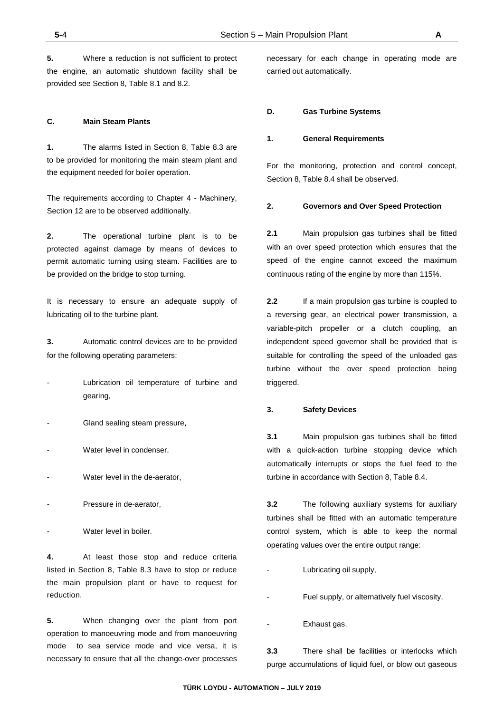**5.** Where a reduction is not sufficient to protect the engine, an automatic shutdown facility shall be provided see Section 8, Table 8.1 and 8.2.

#### **C. Main Steam Plants**

**1.** The alarms listed in Section 8, Table 8.3 are to be provided for monitoring the main steam plant and the equipment needed for boiler operation.

The requirements according to Chapter 4 - Machinery, Section 12 are to be observed additionally.

**2.** The operational turbine plant is to be protected against damage by means of devices to permit automatic turning using steam. Facilities are to be provided on the bridge to stop turning.

It is necessary to ensure an adequate supply of lubricating oil to the turbine plant.

**3.** Automatic control devices are to be provided for the following operating parameters:

- Lubrication oil temperature of turbine and gearing,
- Gland sealing steam pressure,
- Water level in condenser.
- Water level in the de-aerator,
- Pressure in de-aerator,
- Water level in boiler.

**4.** At least those stop and reduce criteria listed in Section 8, Table 8.3 have to stop or reduce the main propulsion plant or have to request for reduction.

**5.** When changing over the plant from port operation to manoeuvring mode and from manoeuvring mode to sea service mode and vice versa, it is necessary to ensure that all the change-over processes

necessary for each change in operating mode are carried out automatically.

#### **D. Gas Turbine Systems**

#### **1. General Requirements**

For the monitoring, protection and control concept, Section 8, Table 8.4 shall be observed.

#### **2. Governors and Over Speed Protection**

**2.1** Main propulsion gas turbines shall be fitted with an over speed protection which ensures that the speed of the engine cannot exceed the maximum continuous rating of the engine by more than 115%.

**2.2** If a main propulsion gas turbine is coupled to a reversing gear, an electrical power transmission, a variable-pitch propeller or a clutch coupling, an independent speed governor shall be provided that is suitable for controlling the speed of the unloaded gas turbine without the over speed protection being triggered.

#### **3. Safety Devices**

**3.1** Main propulsion gas turbines shall be fitted with a quick-action turbine stopping device which automatically interrupts or stops the fuel feed to the turbine in accordance with Section 8, Table 8.4.

**3.2** The following auxiliary systems for auxiliary turbines shall be fitted with an automatic temperature control system, which is able to keep the normal operating values over the entire output range:

- Lubricating oil supply,
- Fuel supply, or alternatively fuel viscosity,
- Exhaust gas.

**3.3** There shall be facilities or interlocks which purge accumulations of liquid fuel, or blow out gaseous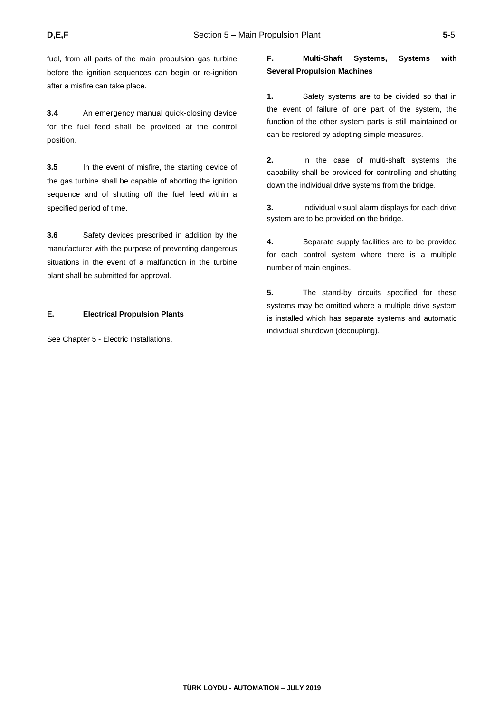fuel, from all parts of the main propulsion gas turbine before the ignition sequences can begin or re-ignition after a misfire can take place.

**3.4** An emergency manual quick-closing device for the fuel feed shall be provided at the control position.

**3.5** In the event of misfire, the starting device of the gas turbine shall be capable of aborting the ignition sequence and of shutting off the fuel feed within a specified period of time.

**3.6** Safety devices prescribed in addition by the manufacturer with the purpose of preventing dangerous situations in the event of a malfunction in the turbine plant shall be submitted for approval.

### **E. Electrical Propulsion Plants**

See Chapter 5 - Electric Installations.

## **F. Multi-Shaft Systems, Systems with Several Propulsion Machines**

**1.** Safety systems are to be divided so that in the event of failure of one part of the system, the function of the other system parts is still maintained or can be restored by adopting simple measures.

**2.** In the case of multi-shaft systems the capability shall be provided for controlling and shutting down the individual drive systems from the bridge.

**3.** Individual visual alarm displays for each drive system are to be provided on the bridge.

**4.** Separate supply facilities are to be provided for each control system where there is a multiple number of main engines.

**5.** The stand-by circuits specified for these systems may be omitted where a multiple drive system is installed which has separate systems and automatic individual shutdown (decoupling).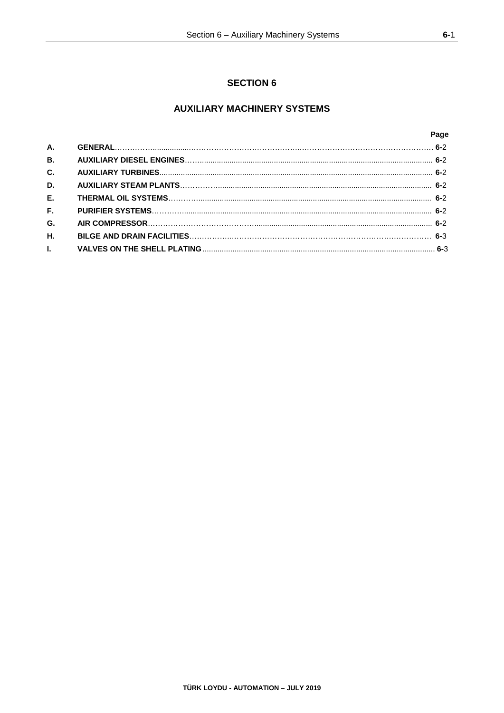## **AUXILIARY MACHINERY SYSTEMS**

|              | Page |
|--------------|------|
| <b>A.</b>    |      |
| <b>B.</b>    |      |
| C.           |      |
| D.           |      |
| $E_{\rm{r}}$ |      |
| F.           |      |
| G.           |      |
| Η.           |      |
| L.           |      |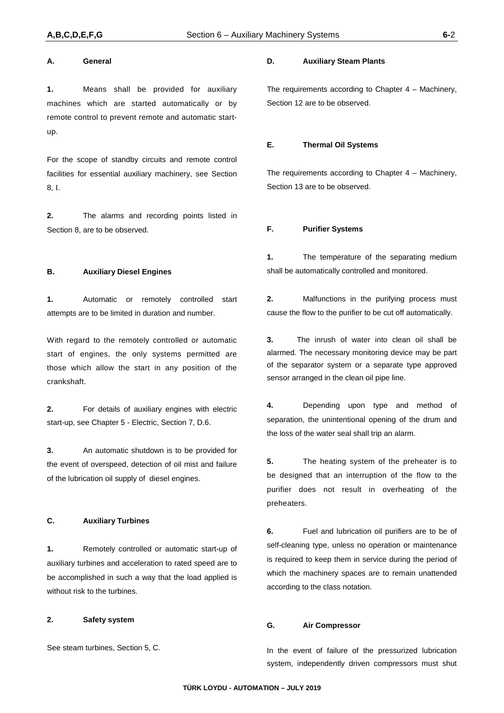#### **A. General**

**1.** Means shall be provided for auxiliary machines which are started automatically or by remote control to prevent remote and automatic startup.

For the scope of standby circuits and remote control facilities for essential auxiliary machinery, see Section 8, I.

**2.** The alarms and recording points listed in Section 8, are to be observed.

#### **B. Auxiliary Diesel Engines**

**1.** Automatic or remotely controlled start attempts are to be limited in duration and number.

With regard to the remotely controlled or automatic start of engines, the only systems permitted are those which allow the start in any position of the crankshaft.

**2.** For details of auxiliary engines with electric start-up, see Chapter 5 - Electric, Section 7, D.6.

**3.** An automatic shutdown is to be provided for the event of overspeed, detection of oil mist and failure of the lubrication oil supply of diesel engines.

#### **C. Auxiliary Turbines**

**1.** Remotely controlled or automatic start-up of auxiliary turbines and acceleration to rated speed are to be accomplished in such a way that the load applied is without risk to the turbines.

#### **2. Safety system**

See steam turbines, Section 5, C.

#### **D. Auxiliary Steam Plants**

The requirements according to Chapter 4 – Machinery, Section 12 are to be observed.

#### **E. Thermal Oil Systems**

The requirements according to Chapter 4 – Machinery, Section 13 are to be observed.

#### **F. Purifier Systems**

**1.** The temperature of the separating medium shall be automatically controlled and monitored.

**2.** Malfunctions in the purifying process must cause the flow to the purifier to be cut off automatically.

**3.** The inrush of water into clean oil shall be alarmed. The necessary monitoring device may be part of the separator system or a separate type approved sensor arranged in the clean oil pipe line.

**4.** Depending upon type and method of separation, the unintentional opening of the drum and the loss of the water seal shall trip an alarm.

**5.** The heating system of the preheater is to be designed that an interruption of the flow to the purifier does not result in overheating of the preheaters.

**6.** Fuel and lubrication oil purifiers are to be of self-cleaning type, unless no operation or maintenance is required to keep them in service during the period of which the machinery spaces are to remain unattended according to the class notation.

### **G. Air Compressor**

In the event of failure of the pressurized lubrication system, independently driven compressors must shut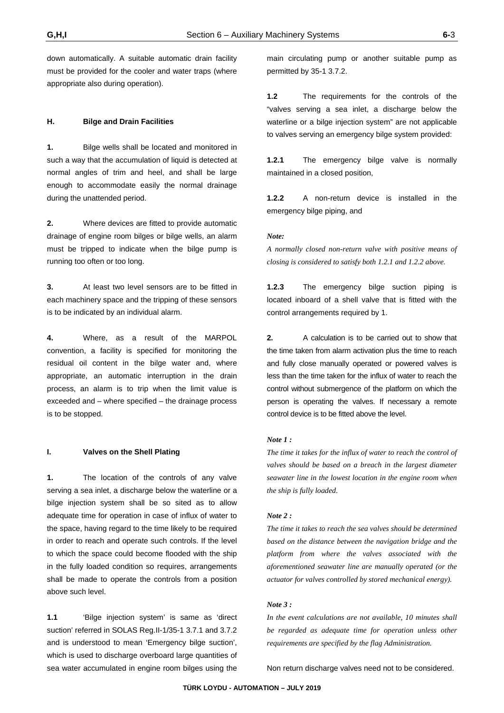down automatically. A suitable automatic drain facility must be provided for the cooler and water traps (where appropriate also during operation).

#### **H. Bilge and Drain Facilities**

**1.** Bilge wells shall be located and monitored in such a way that the accumulation of liquid is detected at normal angles of trim and heel, and shall be large enough to accommodate easily the normal drainage during the unattended period.

**2.** Where devices are fitted to provide automatic drainage of engine room bilges or bilge wells, an alarm must be tripped to indicate when the bilge pump is running too often or too long.

**3.** At least two level sensors are to be fitted in each machinery space and the tripping of these sensors is to be indicated by an individual alarm.

**4.** Where, as a result of the MARPOL convention, a facility is specified for monitoring the residual oil content in the bilge water and, where appropriate, an automatic interruption in the drain process, an alarm is to trip when the limit value is exceeded and – where specified – the drainage process is to be stopped.

#### **I. Valves on the Shell Plating**

**1.** The location of the controls of any valve serving a sea inlet, a discharge below the waterline or a bilge injection system shall be so sited as to allow adequate time for operation in case of influx of water to the space, having regard to the time likely to be required in order to reach and operate such controls. If the level to which the space could become flooded with the ship in the fully loaded condition so requires, arrangements shall be made to operate the controls from a position above such level.

**1.1** 'Bilge injection system' is same as 'direct suction' referred in SOLAS Reg.II-1/35-1 3.7.1 and 3.7.2 and is understood to mean 'Emergency bilge suction', which is used to discharge overboard large quantities of sea water accumulated in engine room bilges using the main circulating pump or another suitable pump as permitted by 35-1 3.7.2.

**1.2** The requirements for the controls of the "valves serving a sea inlet, a discharge below the waterline or a bilge injection system" are not applicable to valves serving an emergency bilge system provided:

**1.2.1** The emergency bilge valve is normally maintained in a closed position,

**1.2.2** A non-return device is installed in the emergency bilge piping, and

#### *Note:*

*A normally closed non-return valve with positive means of closing is considered to satisfy both 1.2.1 and 1.2.2 above.*

**1.2.3** The emergency bilge suction piping is located inboard of a shell valve that is fitted with the control arrangements required by 1.

**2.** A calculation is to be carried out to show that the time taken from alarm activation plus the time to reach and fully close manually operated or powered valves is less than the time taken for the influx of water to reach the control without submergence of the platform on which the person is operating the valves. If necessary a remote control device is to be fitted above the level.

#### *Note 1 :*

*The time it takes for the influx of water to reach the control of valves should be based on a breach in the largest diameter seawater line in the lowest location in the engine room when the ship is fully loaded.*

#### *Note 2 :*

*The time it takes to reach the sea valves should be determined based on the distance between the navigation bridge and the platform from where the valves associated with the aforementioned seawater line are manually operated (or the actuator for valves controlled by stored mechanical energy).*

#### *Note 3 :*

*In the event calculations are not available, 10 minutes shall be regarded as adequate time for operation unless other requirements are specified by the flag Administration.*

Non return discharge valves need not to be considered.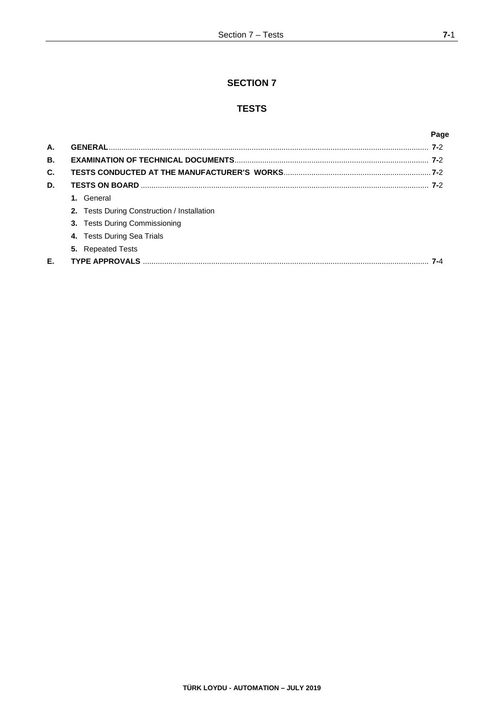## **SECTION 7**

## **TESTS**

|    |                                             | Page |
|----|---------------------------------------------|------|
| А. | <b>GENERAL</b>                              | 7-2  |
| В. |                                             |      |
| C. |                                             |      |
| D. |                                             |      |
|    | 1. General                                  |      |
|    | 2. Tests During Construction / Installation |      |
|    | 3. Tests During Commissioning               |      |
|    | 4. Tests During Sea Trials                  |      |
|    | <b>5.</b> Repeated Tests                    |      |
| Е. |                                             |      |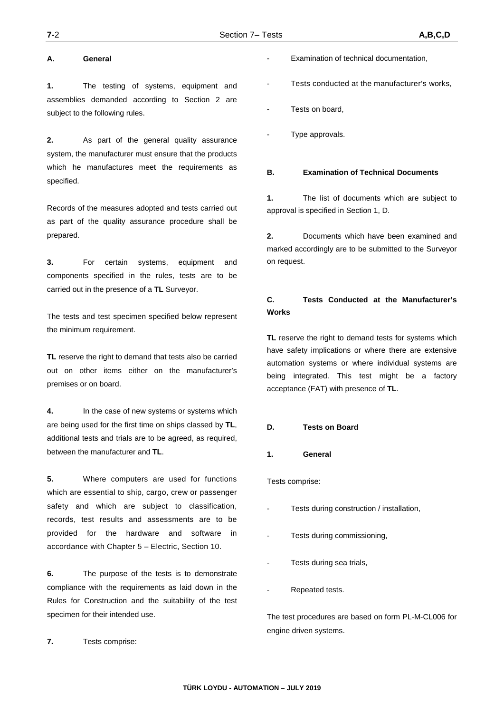#### **A. General**

**1.** The testing of systems, equipment and assemblies demanded according to Section 2 are subject to the following rules.

**2.** As part of the general quality assurance system, the manufacturer must ensure that the products which he manufactures meet the requirements as specified.

Records of the measures adopted and tests carried out as part of the quality assurance procedure shall be prepared.

**3.** For certain systems, equipment and components specified in the rules, tests are to be carried out in the presence of a **TL** Surveyor.

The tests and test specimen specified below represent the minimum requirement.

**TL** reserve the right to demand that tests also be carried out on other items either on the manufacturer's premises or on board.

**4.** In the case of new systems or systems which are being used for the first time on ships classed by **TL**, additional tests and trials are to be agreed, as required, between the manufacturer and **TL**.

**5.** Where computers are used for functions which are essential to ship, cargo, crew or passenger safety and which are subiect to classification, records, test results and assessments are to be provided for the hardware and software in accordance with Chapter 5 – Electric, Section 10.

**6.** The purpose of the tests is to demonstrate compliance with the requirements as laid down in the Rules for Construction and the suitability of the test specimen for their intended use.

**7.** Tests comprise:

- Examination of technical documentation,
- Tests conducted at the manufacturer's works,
- Tests on board.
- Type approvals.

#### **B. Examination of Technical Documents**

**1.** The list of documents which are subject to approval is specified in Section 1, D.

**2.** Documents which have been examined and marked accordingly are to be submitted to the Surveyor on request.

### **C. Tests Conducted at the Manufacturer's Works**

**TL** reserve the right to demand tests for systems which have safety implications or where there are extensive automation systems or where individual systems are being integrated. This test might be a factory acceptance (FAT) with presence of **TL**.

#### **D. Tests on Board**

#### **1. General**

Tests comprise:

- Tests during construction / installation,
- Tests during commissioning,
- Tests during sea trials,
- Repeated tests.

The test procedures are based on form PL-M-CL006 for engine driven systems.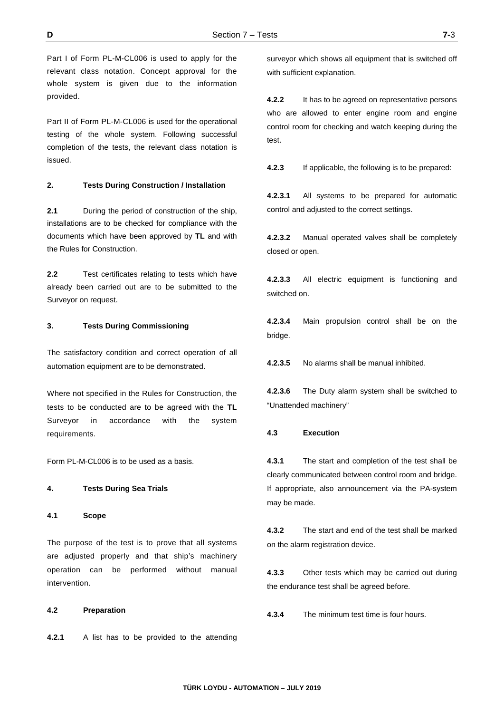Part I of Form PL-M-CL006 is used to apply for the relevant class notation. Concept approval for the whole system is given due to the information provided.

Part II of Form PL-M-CL006 is used for the operational testing of the whole system. Following successful completion of the tests, the relevant class notation is issued.

#### **2. Tests During Construction / Installation**

**2.1** During the period of construction of the ship, installations are to be checked for compliance with the documents which have been approved by **TL** and with the Rules for Construction.

**2.2** Test certificates relating to tests which have already been carried out are to be submitted to the Surveyor on request.

#### **3. Tests During Commissioning**

The satisfactory condition and correct operation of all automation equipment are to be demonstrated.

Where not specified in the Rules for Construction, the tests to be conducted are to be agreed with the **TL** Surveyor in accordance with the system requirements.

Form PL-M-CL006 is to be used as a basis.

#### **4. Tests During Sea Trials**

#### **4.1 Scope**

The purpose of the test is to prove that all systems are adjusted properly and that ship's machinery operation can be performed without manual intervention.

#### **4.2 Preparation**

**4.2.1** A list has to be provided to the attending

surveyor which shows all equipment that is switched off with sufficient explanation.

**4.2.2** It has to be agreed on representative persons who are allowed to enter engine room and engine control room for checking and watch keeping during the test.

**4.2.3** If applicable, the following is to be prepared:

**4.2.3.1** All systems to be prepared for automatic control and adjusted to the correct settings.

**4.2.3.2** Manual operated valves shall be completely closed or open.

**4.2.3.3** All electric equipment is functioning and switched on.

**4.2.3.4** Main propulsion control shall be on the bridge.

**4.2.3.5** No alarms shall be manual inhibited.

**4.2.3.6** The Duty alarm system shall be switched to "Unattended machinery"

#### **4.3 Execution**

**4.3.1** The start and completion of the test shall be clearly communicated between control room and bridge. If appropriate, also announcement via the PA-system may be made.

**4.3.2** The start and end of the test shall be marked on the alarm registration device.

**4.3.3** Other tests which may be carried out during the endurance test shall be agreed before.

**4.3.4** The minimum test time is four hours.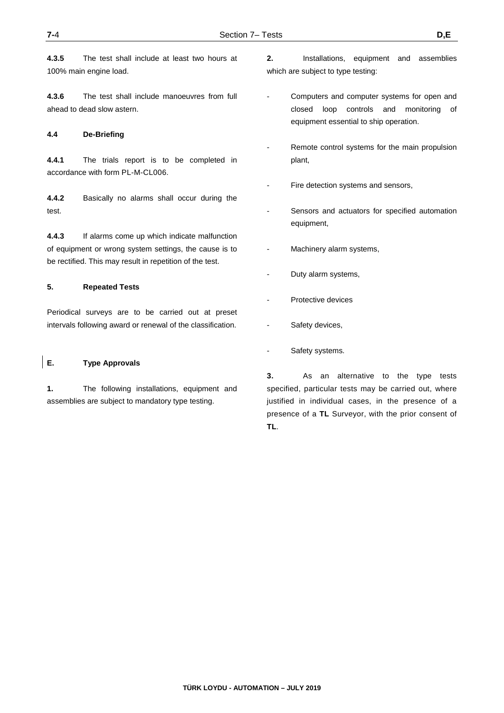**4.3.5** The test shall include at least two hours at 100% main engine load.

**4.3.6** The test shall include manoeuvres from full ahead to dead slow astern.

#### **4.4 De-Briefing**

**4.4.1** The trials report is to be completed in accordance with form PL-M-CL006.

**4.4.2** Basically no alarms shall occur during the test.

**4.4.3** If alarms come up which indicate malfunction of equipment or wrong system settings, the cause is to be rectified. This may result in repetition of the test.

#### **5. Repeated Tests**

Periodical surveys are to be carried out at preset intervals following award or renewal of the classification.

#### **E. Type Approvals**

**1.** The following installations, equipment and assemblies are subject to mandatory type testing.

- **2.** Installations, equipment and assemblies which are subject to type testing:
- Computers and computer systems for open and closed loop controls and monitoring of equipment essential to ship operation.
- Remote control systems for the main propulsion plant,
- Fire detection systems and sensors,
- Sensors and actuators for specified automation equipment,
- Machinery alarm systems,
- Duty alarm systems,
- Protective devices
- Safety devices,
- Safety systems.

**3.** As an alternative to the type tests specified, particular tests may be carried out, where justified in individual cases, in the presence of a presence of a **TL** Surveyor, with the prior consent of **TL**.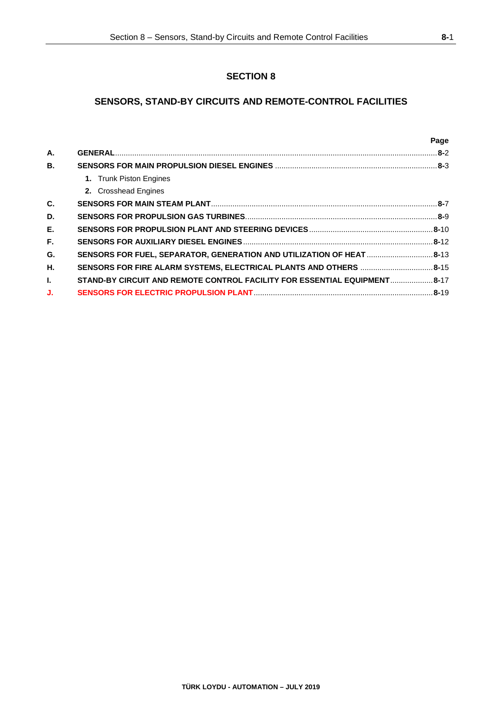## **SECTION 8**

## **SENSORS, STAND-BY CIRCUITS AND REMOTE-CONTROL FACILITIES**

|           |                                                                           | Page |
|-----------|---------------------------------------------------------------------------|------|
| А.        |                                                                           |      |
| <b>B.</b> |                                                                           |      |
|           | 1. Trunk Piston Engines                                                   |      |
|           | 2. Crosshead Engines                                                      |      |
| C.        |                                                                           |      |
| D.        |                                                                           |      |
| E.        |                                                                           |      |
| F.        |                                                                           |      |
| G.        | SENSORS FOR FUEL, SEPARATOR, GENERATION AND UTILIZATION OF HEAT 8-13      |      |
| Η.        | SENSORS FOR FIRE ALARM SYSTEMS, ELECTRICAL PLANTS AND OTHERS 8-15         |      |
| L.        | STAND-BY CIRCUIT AND REMOTE CONTROL FACILITY FOR ESSENTIAL EQUIPMENT 8-17 |      |
| J.        |                                                                           |      |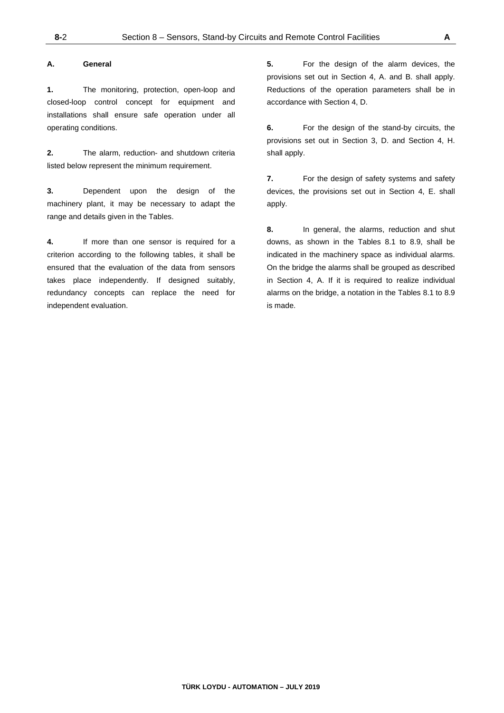#### **A. General**

**1.** The monitoring, protection, open-loop and closed-loop control concept for equipment and installations shall ensure safe operation under all operating conditions.

**2.** The alarm, reduction- and shutdown criteria listed below represent the minimum requirement.

**3.** Dependent upon the design of the machinery plant, it may be necessary to adapt the range and details given in the Tables.

**4.** If more than one sensor is required for a criterion according to the following tables, it shall be ensured that the evaluation of the data from sensors takes place independently. If designed suitably, redundancy concepts can replace the need for independent evaluation.

**5.** For the design of the alarm devices, the provisions set out in Section 4, A. and B. shall apply. Reductions of the operation parameters shall be in accordance with Section 4, D.

**6.** For the design of the stand-by circuits, the provisions set out in Section 3, D. and Section 4, H. shall apply.

**7.** For the design of safety systems and safety devices, the provisions set out in Section 4, E. shall apply.

**8.** In general, the alarms, reduction and shut downs, as shown in the Tables 8.1 to 8.9, shall be indicated in the machinery space as individual alarms. On the bridge the alarms shall be grouped as described in Section 4, A. If it is required to realize individual alarms on the bridge, a notation in the Tables 8.1 to 8.9 is made.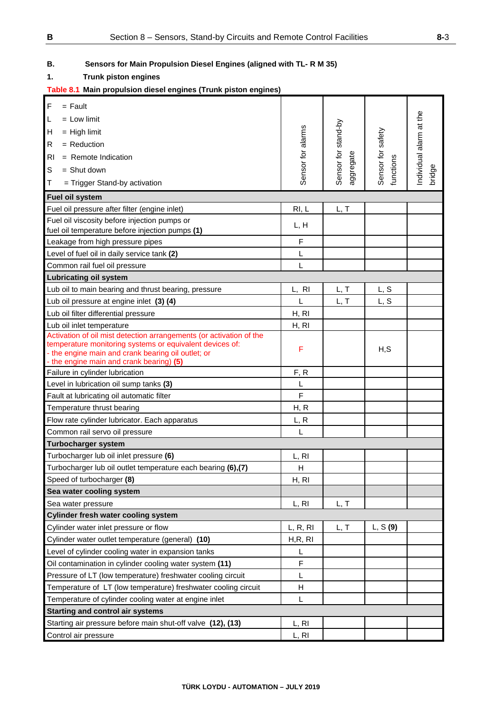## **B. Sensors for Main Propulsion Diesel Engines (aligned with TL- R M 35)**

### **1. Trunk piston engines**

### **Table 8.1 Main propulsion diesel engines (Trunk piston engines)**

| $\mathsf{F}$<br>$=$ Fault                                                                                      |                   |                     |                   |                        |
|----------------------------------------------------------------------------------------------------------------|-------------------|---------------------|-------------------|------------------------|
| L<br>$=$ Low limit                                                                                             |                   |                     |                   |                        |
| Η<br>$=$ High limit                                                                                            |                   |                     |                   |                        |
| $=$ Reduction<br>R                                                                                             | Sensor for alarms | Sensor for stand-by | Sensor for safety | ndividual alarm at the |
| R <sub>l</sub><br>$=$ Remote Indication                                                                        |                   |                     |                   |                        |
|                                                                                                                |                   |                     |                   |                        |
| S<br>$=$ Shut down                                                                                             |                   | aggregate           | functions         | bridge                 |
| Т<br>= Trigger Stand-by activation                                                                             |                   |                     |                   |                        |
| Fuel oil system                                                                                                |                   |                     |                   |                        |
| Fuel oil pressure after filter (engine inlet)                                                                  | RI, L             | L, T                |                   |                        |
| Fuel oil viscosity before injection pumps or                                                                   | L, H              |                     |                   |                        |
| fuel oil temperature before injection pumps (1)                                                                |                   |                     |                   |                        |
| Leakage from high pressure pipes                                                                               | F                 |                     |                   |                        |
| Level of fuel oil in daily service tank (2)                                                                    | L                 |                     |                   |                        |
| Common rail fuel oil pressure                                                                                  | L                 |                     |                   |                        |
| <b>Lubricating oil system</b>                                                                                  |                   |                     |                   |                        |
| Lub oil to main bearing and thrust bearing, pressure                                                           | L, RI             | L, T                | L, S              |                        |
| Lub oil pressure at engine inlet (3) (4)                                                                       | L                 | L, T                | L, S              |                        |
| Lub oil filter differential pressure                                                                           | H, RI             |                     |                   |                        |
| Lub oil inlet temperature                                                                                      | H, RI             |                     |                   |                        |
| Activation of oil mist detection arrangements (or activation of the                                            |                   |                     |                   |                        |
| temperature monitoring systems or equivalent devices of:<br>- the engine main and crank bearing oil outlet; or | F                 |                     | H, S              |                        |
| - the engine main and crank bearing) (5)                                                                       |                   |                     |                   |                        |
| Failure in cylinder lubrication                                                                                | F, R              |                     |                   |                        |
| Level in lubrication oil sump tanks (3)                                                                        | L                 |                     |                   |                        |
| Fault at lubricating oil automatic filter                                                                      | F                 |                     |                   |                        |
| Temperature thrust bearing                                                                                     | H, R              |                     |                   |                        |
| Flow rate cylinder lubricator. Each apparatus                                                                  | L, R              |                     |                   |                        |
| Common rail servo oil pressure                                                                                 | L                 |                     |                   |                        |
| <b>Turbocharger system</b>                                                                                     |                   |                     |                   |                        |
| Turbocharger lub oil inlet pressure (6)                                                                        | L, RI             |                     |                   |                        |
| Turbocharger lub oil outlet temperature each bearing (6),(7)                                                   | Н                 |                     |                   |                        |
| Speed of turbocharger (8)                                                                                      | H, RI             |                     |                   |                        |
| Sea water cooling system                                                                                       |                   |                     |                   |                        |
| Sea water pressure                                                                                             | L, RI             | L, T                |                   |                        |
| <b>Cylinder fresh water cooling system</b>                                                                     |                   |                     |                   |                        |
| Cylinder water inlet pressure or flow                                                                          | L, R, RI          | L, T                | L, S(9)           |                        |
| Cylinder water outlet temperature (general) (10)                                                               | H,R, RI           |                     |                   |                        |
| Level of cylinder cooling water in expansion tanks                                                             | L                 |                     |                   |                        |
| Oil contamination in cylinder cooling water system (11)                                                        | F                 |                     |                   |                        |
| Pressure of LT (low temperature) freshwater cooling circuit                                                    | L                 |                     |                   |                        |
| Temperature of LT (low temperature) freshwater cooling circuit                                                 | н                 |                     |                   |                        |
|                                                                                                                | L                 |                     |                   |                        |
| Temperature of cylinder cooling water at engine inlet                                                          |                   |                     |                   |                        |
| <b>Starting and control air systems</b>                                                                        |                   |                     |                   |                        |
| Starting air pressure before main shut-off valve (12), (13)                                                    | L, RI             |                     |                   |                        |
| Control air pressure                                                                                           | L, RI             |                     |                   |                        |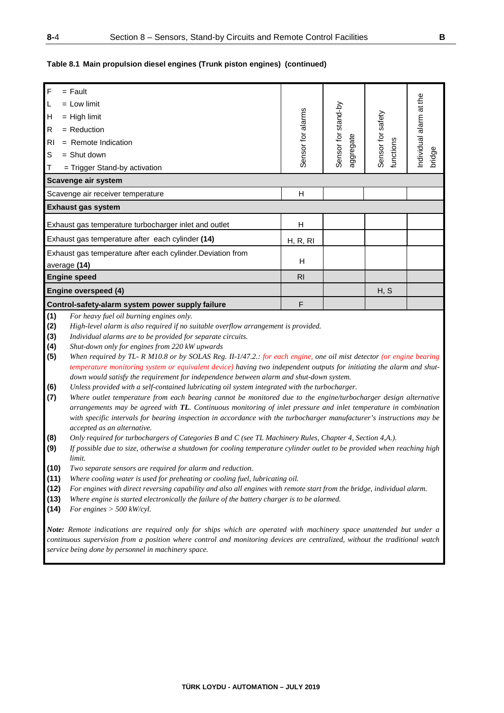#### **Table 8.1 Main propulsion diesel engines (Trunk piston engines) (continued)**

| $\mathsf F$                            | $=$ Fault                                                   |                   |                     |            |                         |  |  |
|----------------------------------------|-------------------------------------------------------------|-------------------|---------------------|------------|-------------------------|--|--|
| L                                      | $=$ Low limit                                               |                   |                     |            | Individual alarm at the |  |  |
| H                                      | $=$ High limit                                              | Sensor for alarms | Sensor for stand-by | safety     |                         |  |  |
| $\mathsf{R}$                           | $=$ Reduction                                               |                   |                     |            |                         |  |  |
| R <sub>l</sub>                         | $=$ Remote Indication                                       |                   | ggregate            | Sensor for |                         |  |  |
| S                                      | $=$ Shut down                                               |                   |                     | functions  | bridge                  |  |  |
| $\mathsf T$                            | = Trigger Stand-by activation                               |                   |                     |            |                         |  |  |
|                                        | Scavenge air system                                         |                   |                     |            |                         |  |  |
| H<br>Scavenge air receiver temperature |                                                             |                   |                     |            |                         |  |  |
|                                        | <b>Exhaust gas system</b>                                   |                   |                     |            |                         |  |  |
|                                        | Exhaust gas temperature turbocharger inlet and outlet       | н                 |                     |            |                         |  |  |
|                                        | Exhaust gas temperature after each cylinder (14)            | H, R, R           |                     |            |                         |  |  |
|                                        | Exhaust gas temperature after each cylinder. Deviation from |                   |                     |            |                         |  |  |
|                                        | average (14)                                                | H                 |                     |            |                         |  |  |
|                                        | <b>Engine speed</b>                                         | R <sub>l</sub>    |                     |            |                         |  |  |
|                                        | Engine overspeed (4)                                        |                   |                     | H, S       |                         |  |  |
|                                        | Control-safety-alarm system power supply failure            | F                 |                     |            |                         |  |  |
| $\sqrt{4}$                             | Louteous fiel of huming moines anti-                        |                   |                     |            |                         |  |  |

**(1)** *For heavy fuel oil burning engines only.*

**(2)** *High-level alarm is also required if no suitable overflow arrangement is provided.*

**(3)** *Individual alarms are to be provided for separate circuits.*

**(4)** *Shut-down only for engines from 220 kW upwards*

**(5)** *When required by TL- R M10.8 or by SOLAS Reg. II-1/47.2.: for each engine, one oil mist detector (or engine bearing temperature monitoring system or equivalent device) having two independent outputs for initiating the alarm and shutdown would satisfy the requirement for independence between alarm and shut-down system.*

**(6)** *Unless provided with a self-contained lubricating oil system integrated with the turbocharger.*

**(7)** *Where outlet temperature from each bearing cannot be monitored due to the engine/turbocharger design alternative arrangements may be agreed with TL. Continuous monitoring of inlet pressure and inlet temperature in combination with specific intervals for bearing inspection in accordance with the turbocharger manufacturer's instructions may be accepted as an alternative.*

- **(8)** *Only required for turbochargers of Categories B and C (see TL Machinery Rules, Chapter 4, Section 4,A.).*
- **(9)** *If possible due to size, otherwise a shutdown for cooling temperature cylinder outlet to be provided when reaching high limit.*
- **(10)** *Two separate sensors are required for alarm and reduction.*
- **(11)** *Where cooling water is used for preheating or cooling fuel, lubricating oil.*
- **(12)** *For engines with direct reversing capability and also all engines with remote start from the bridge, individual alarm.*
- **(13)** *Where engine is started electronically the failure of the battery charger is to be alarmed.*
- **(14)** *For engines > 500 kW/cyl.*

*Note: Remote indications are required only for ships which are operated with machinery space unattended but under a continuous supervision from a position where control and monitoring devices are centralized, without the traditional watch service being done by personnel in machinery space.*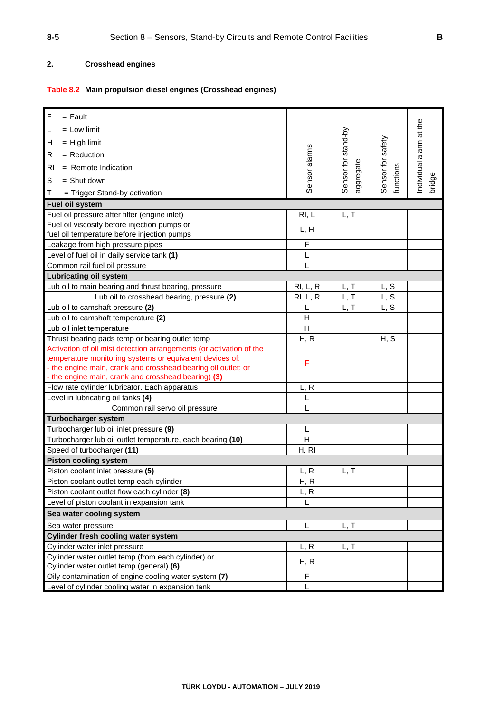## **2. Crosshead engines**

## **Table 8.2 Main propulsion diesel engines (Crosshead engines)**

| $\mathsf F$<br>$=$ Fault                                            |               |                                  |                   |                        |
|---------------------------------------------------------------------|---------------|----------------------------------|-------------------|------------------------|
| L<br>$=$ Low limit                                                  |               |                                  |                   |                        |
| H<br>$=$ High limit                                                 |               |                                  |                   |                        |
| R<br>$=$ Reduction                                                  |               |                                  |                   |                        |
| R <sub>1</sub><br>$=$ Remote Indication                             | Sensor alarms | Sensor for stand-by<br>aggregate | Sensor for safety | ndividual alarm at the |
| $\mathsf S$<br>$=$ Shut down                                        |               |                                  | functions         | bridge                 |
| T<br>= Trigger Stand-by activation                                  |               |                                  |                   |                        |
| Fuel oil system                                                     |               |                                  |                   |                        |
| Fuel oil pressure after filter (engine inlet)                       | RI, L         | L, T                             |                   |                        |
| Fuel oil viscosity before injection pumps or                        |               |                                  |                   |                        |
| fuel oil temperature before injection pumps                         | L, H          |                                  |                   |                        |
| Leakage from high pressure pipes                                    | F             |                                  |                   |                        |
| Level of fuel oil in daily service tank (1)                         | Г             |                                  |                   |                        |
| Common rail fuel oil pressure                                       | L             |                                  |                   |                        |
| <b>Lubricating oil system</b>                                       |               |                                  |                   |                        |
| Lub oil to main bearing and thrust bearing, pressure                | RI, L, R      | L, T                             | L, S              |                        |
| Lub oil to crosshead bearing, pressure (2)                          | RI, L, R      | L, T                             | L, S              |                        |
| Lub oil to camshaft pressure (2)                                    | L             | L, T                             | L, S              |                        |
| Lub oil to camshaft temperature (2)                                 | H             |                                  |                   |                        |
| Lub oil inlet temperature                                           | H             |                                  |                   |                        |
| Thrust bearing pads temp or bearing outlet temp                     | H, R          |                                  | H, S              |                        |
| Activation of oil mist detection arrangements (or activation of the |               |                                  |                   |                        |
| temperature monitoring systems or equivalent devices of:            |               |                                  |                   |                        |
| - the engine main, crank and crosshead bearing oil outlet; or       | F             |                                  |                   |                        |
| - the engine main, crank and crosshead bearing) (3)                 |               |                                  |                   |                        |
| Flow rate cylinder lubricator. Each apparatus                       | L, R          |                                  |                   |                        |
| Level in lubricating oil tanks (4)                                  | L             |                                  |                   |                        |
| Common rail servo oil pressure                                      | L             |                                  |                   |                        |
| <b>Turbocharger system</b>                                          |               |                                  |                   |                        |
| Turbocharger lub oil inlet pressure (9)                             | L             |                                  |                   |                        |
| Turbocharger lub oil outlet temperature, each bearing (10)          | H             |                                  |                   |                        |
| Speed of turbocharger (11)                                          | H, RI         |                                  |                   |                        |
| <b>Piston cooling system</b>                                        |               |                                  |                   |                        |
| Piston coolant inlet pressure (5)                                   | L, R          | L, T                             |                   |                        |
| Piston coolant outlet temp each cylinder                            | H, R          |                                  |                   |                        |
| Piston coolant outlet flow each cylinder (8)                        | L, R          |                                  |                   |                        |
| Level of piston coolant in expansion tank                           |               |                                  |                   |                        |
| Sea water cooling system                                            |               |                                  |                   |                        |
| Sea water pressure                                                  | L             | L, T                             |                   |                        |
| <b>Cylinder fresh cooling water system</b>                          |               |                                  |                   |                        |
| Cylinder water inlet pressure                                       | L, R          | L, T                             |                   |                        |
| Cylinder water outlet temp (from each cylinder) or                  |               |                                  |                   |                        |
| Cylinder water outlet temp (general) (6)                            | H, R          |                                  |                   |                        |
| Oily contamination of engine cooling water system (7)               | F             |                                  |                   |                        |
| Level of cylinder cooling water in expansion tank                   |               |                                  |                   |                        |
|                                                                     |               |                                  |                   |                        |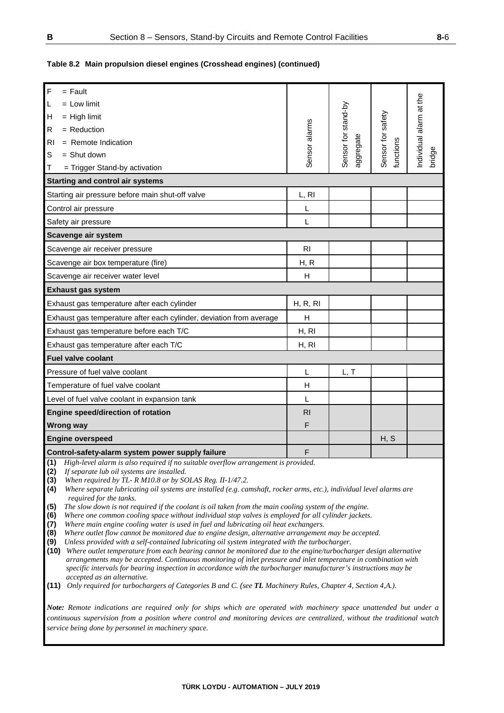### **Table 8.2 Main propulsion diesel engines (Crosshead engines) (continued)**

| F<br>$=$ Fault                                                                                                                                                                                                                                                                                                                                                                                                                                                                                                                                                                                                                                                                                                                                                                                                                                                                                                                                                                                                                                                                                                                                                                                                                                                                                                                                                                                                                                        |                |                     |                   |                        |  |
|-------------------------------------------------------------------------------------------------------------------------------------------------------------------------------------------------------------------------------------------------------------------------------------------------------------------------------------------------------------------------------------------------------------------------------------------------------------------------------------------------------------------------------------------------------------------------------------------------------------------------------------------------------------------------------------------------------------------------------------------------------------------------------------------------------------------------------------------------------------------------------------------------------------------------------------------------------------------------------------------------------------------------------------------------------------------------------------------------------------------------------------------------------------------------------------------------------------------------------------------------------------------------------------------------------------------------------------------------------------------------------------------------------------------------------------------------------|----------------|---------------------|-------------------|------------------------|--|
| $=$ Low limit<br>L                                                                                                                                                                                                                                                                                                                                                                                                                                                                                                                                                                                                                                                                                                                                                                                                                                                                                                                                                                                                                                                                                                                                                                                                                                                                                                                                                                                                                                    |                |                     |                   |                        |  |
| $=$ High limit<br>Н                                                                                                                                                                                                                                                                                                                                                                                                                                                                                                                                                                                                                                                                                                                                                                                                                                                                                                                                                                                                                                                                                                                                                                                                                                                                                                                                                                                                                                   |                |                     |                   |                        |  |
| $=$ Reduction<br>R                                                                                                                                                                                                                                                                                                                                                                                                                                                                                                                                                                                                                                                                                                                                                                                                                                                                                                                                                                                                                                                                                                                                                                                                                                                                                                                                                                                                                                    | Sensor alarms  | Sensor for stand-by | Sensor for safety | ndividual alarm at the |  |
| $=$ Remote Indication<br>RI                                                                                                                                                                                                                                                                                                                                                                                                                                                                                                                                                                                                                                                                                                                                                                                                                                                                                                                                                                                                                                                                                                                                                                                                                                                                                                                                                                                                                           |                |                     |                   |                        |  |
| S<br>$=$ Shut down                                                                                                                                                                                                                                                                                                                                                                                                                                                                                                                                                                                                                                                                                                                                                                                                                                                                                                                                                                                                                                                                                                                                                                                                                                                                                                                                                                                                                                    |                | aggregate           | functions         | bridge                 |  |
| = Trigger Stand-by activation<br>Т                                                                                                                                                                                                                                                                                                                                                                                                                                                                                                                                                                                                                                                                                                                                                                                                                                                                                                                                                                                                                                                                                                                                                                                                                                                                                                                                                                                                                    |                |                     |                   |                        |  |
| <b>Starting and control air systems</b>                                                                                                                                                                                                                                                                                                                                                                                                                                                                                                                                                                                                                                                                                                                                                                                                                                                                                                                                                                                                                                                                                                                                                                                                                                                                                                                                                                                                               |                |                     |                   |                        |  |
| Starting air pressure before main shut-off valve                                                                                                                                                                                                                                                                                                                                                                                                                                                                                                                                                                                                                                                                                                                                                                                                                                                                                                                                                                                                                                                                                                                                                                                                                                                                                                                                                                                                      | L, RI          |                     |                   |                        |  |
| Control air pressure                                                                                                                                                                                                                                                                                                                                                                                                                                                                                                                                                                                                                                                                                                                                                                                                                                                                                                                                                                                                                                                                                                                                                                                                                                                                                                                                                                                                                                  | L              |                     |                   |                        |  |
| Safety air pressure                                                                                                                                                                                                                                                                                                                                                                                                                                                                                                                                                                                                                                                                                                                                                                                                                                                                                                                                                                                                                                                                                                                                                                                                                                                                                                                                                                                                                                   | L              |                     |                   |                        |  |
| Scavenge air system                                                                                                                                                                                                                                                                                                                                                                                                                                                                                                                                                                                                                                                                                                                                                                                                                                                                                                                                                                                                                                                                                                                                                                                                                                                                                                                                                                                                                                   |                |                     |                   |                        |  |
| Scavenge air receiver pressure                                                                                                                                                                                                                                                                                                                                                                                                                                                                                                                                                                                                                                                                                                                                                                                                                                                                                                                                                                                                                                                                                                                                                                                                                                                                                                                                                                                                                        | R <sub>l</sub> |                     |                   |                        |  |
| Scavenge air box temperature (fire)                                                                                                                                                                                                                                                                                                                                                                                                                                                                                                                                                                                                                                                                                                                                                                                                                                                                                                                                                                                                                                                                                                                                                                                                                                                                                                                                                                                                                   | H, R           |                     |                   |                        |  |
| Scavenge air receiver water level                                                                                                                                                                                                                                                                                                                                                                                                                                                                                                                                                                                                                                                                                                                                                                                                                                                                                                                                                                                                                                                                                                                                                                                                                                                                                                                                                                                                                     | H              |                     |                   |                        |  |
| <b>Exhaust gas system</b>                                                                                                                                                                                                                                                                                                                                                                                                                                                                                                                                                                                                                                                                                                                                                                                                                                                                                                                                                                                                                                                                                                                                                                                                                                                                                                                                                                                                                             |                |                     |                   |                        |  |
| Exhaust gas temperature after each cylinder                                                                                                                                                                                                                                                                                                                                                                                                                                                                                                                                                                                                                                                                                                                                                                                                                                                                                                                                                                                                                                                                                                                                                                                                                                                                                                                                                                                                           | H, R, RI       |                     |                   |                        |  |
| Exhaust gas temperature after each cylinder, deviation from average                                                                                                                                                                                                                                                                                                                                                                                                                                                                                                                                                                                                                                                                                                                                                                                                                                                                                                                                                                                                                                                                                                                                                                                                                                                                                                                                                                                   | H              |                     |                   |                        |  |
| Exhaust gas temperature before each T/C<br>H, RI                                                                                                                                                                                                                                                                                                                                                                                                                                                                                                                                                                                                                                                                                                                                                                                                                                                                                                                                                                                                                                                                                                                                                                                                                                                                                                                                                                                                      |                |                     |                   |                        |  |
| Exhaust gas temperature after each T/C<br>H, RI                                                                                                                                                                                                                                                                                                                                                                                                                                                                                                                                                                                                                                                                                                                                                                                                                                                                                                                                                                                                                                                                                                                                                                                                                                                                                                                                                                                                       |                |                     |                   |                        |  |
| <b>Fuel valve coolant</b>                                                                                                                                                                                                                                                                                                                                                                                                                                                                                                                                                                                                                                                                                                                                                                                                                                                                                                                                                                                                                                                                                                                                                                                                                                                                                                                                                                                                                             |                |                     |                   |                        |  |
| Pressure of fuel valve coolant                                                                                                                                                                                                                                                                                                                                                                                                                                                                                                                                                                                                                                                                                                                                                                                                                                                                                                                                                                                                                                                                                                                                                                                                                                                                                                                                                                                                                        | L              | L, T                |                   |                        |  |
| Temperature of fuel valve coolant                                                                                                                                                                                                                                                                                                                                                                                                                                                                                                                                                                                                                                                                                                                                                                                                                                                                                                                                                                                                                                                                                                                                                                                                                                                                                                                                                                                                                     | H              |                     |                   |                        |  |
| Level of fuel valve coolant in expansion tank                                                                                                                                                                                                                                                                                                                                                                                                                                                                                                                                                                                                                                                                                                                                                                                                                                                                                                                                                                                                                                                                                                                                                                                                                                                                                                                                                                                                         | L              |                     |                   |                        |  |
| Engine speed/direction of rotation                                                                                                                                                                                                                                                                                                                                                                                                                                                                                                                                                                                                                                                                                                                                                                                                                                                                                                                                                                                                                                                                                                                                                                                                                                                                                                                                                                                                                    | R <sub>l</sub> |                     |                   |                        |  |
| <b>Wrong way</b>                                                                                                                                                                                                                                                                                                                                                                                                                                                                                                                                                                                                                                                                                                                                                                                                                                                                                                                                                                                                                                                                                                                                                                                                                                                                                                                                                                                                                                      | F              |                     |                   |                        |  |
| <b>Engine overspeed</b>                                                                                                                                                                                                                                                                                                                                                                                                                                                                                                                                                                                                                                                                                                                                                                                                                                                                                                                                                                                                                                                                                                                                                                                                                                                                                                                                                                                                                               |                |                     | H, S              |                        |  |
| Control-safety-alarm system power supply failure                                                                                                                                                                                                                                                                                                                                                                                                                                                                                                                                                                                                                                                                                                                                                                                                                                                                                                                                                                                                                                                                                                                                                                                                                                                                                                                                                                                                      | F              |                     |                   |                        |  |
| (1)<br>High-level alarm is also required if no suitable overflow arrangement is provided.<br>(2)<br>If separate lub oil systems are installed.<br>(3)<br>When required by TL- R M10.8 or by SOLAS Reg. II-1/47.2.<br>(4)<br>Where separate lubricating oil systems are installed (e.g. camshaft, rocker arms, etc.), individual level alarms are<br>required for the tanks.<br>(5)<br>The slow down is not required if the coolant is oil taken from the main cooling system of the engine.<br>(6)<br>Where one common cooling space without individual stop valves is employed for all cylinder jackets.<br>(7)<br>Where main engine cooling water is used in fuel and lubricating oil heat exchangers.<br>(8)<br>Where outlet flow cannot be monitored due to engine design, alternative arrangement may be accepted.<br>(9)<br>Unless provided with a self-contained lubricating oil system integrated with the turbocharger.<br>Where outlet temperature from each bearing cannot be monitored due to the engine/turbocharger design alternative<br>(10)<br>arrangements may be accepted. Continuous monitoring of inlet pressure and inlet temperature in combination with<br>specific intervals for bearing inspection in accordance with the turbocharger manufacturer's instructions may be<br>accepted as an alternative.<br>(11) Only required for turbochargers of Categories B and C. (see TL Machinery Rules, Chapter 4, Section 4, A.). |                |                     |                   |                        |  |
|                                                                                                                                                                                                                                                                                                                                                                                                                                                                                                                                                                                                                                                                                                                                                                                                                                                                                                                                                                                                                                                                                                                                                                                                                                                                                                                                                                                                                                                       |                |                     |                   |                        |  |

*Note: Remote indications are required only for ships which are operated with machinery space unattended but under a continuous supervision from a position where control and monitoring devices are centralized, without the traditional watch service being done by personnel in machinery space.*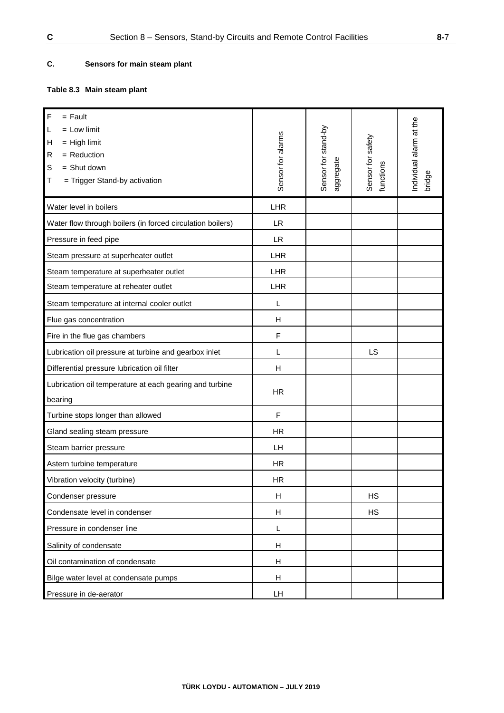## **C. Sensors for main steam plant**

## **Table 8.3 Main steam plant**

| $\mathsf F$<br>$=$ Fault<br>$=$ Low limit<br>L<br>$=$ High limit<br>H<br>$=$ Reduction<br>$\mathsf R$<br>$=$ Shut down<br>S<br>= Trigger Stand-by activation<br>Τ | Sensor for alarms | Sensor for stand-by<br>aggregate | Sensor for safety<br>functions | ndividual alarm at the<br>bridge |
|-------------------------------------------------------------------------------------------------------------------------------------------------------------------|-------------------|----------------------------------|--------------------------------|----------------------------------|
| Water level in boilers                                                                                                                                            | LHR               |                                  |                                |                                  |
| Water flow through boilers (in forced circulation boilers)                                                                                                        | <b>LR</b>         |                                  |                                |                                  |
| Pressure in feed pipe                                                                                                                                             | <b>LR</b>         |                                  |                                |                                  |
| Steam pressure at superheater outlet                                                                                                                              | LHR               |                                  |                                |                                  |
| Steam temperature at superheater outlet                                                                                                                           | <b>LHR</b>        |                                  |                                |                                  |
| Steam temperature at reheater outlet                                                                                                                              | LHR               |                                  |                                |                                  |
| Steam temperature at internal cooler outlet                                                                                                                       | L                 |                                  |                                |                                  |
| Flue gas concentration                                                                                                                                            | H                 |                                  |                                |                                  |
| Fire in the flue gas chambers                                                                                                                                     | F                 |                                  |                                |                                  |
| Lubrication oil pressure at turbine and gearbox inlet                                                                                                             | L                 |                                  | LS                             |                                  |
| Differential pressure lubrication oil filter                                                                                                                      | н                 |                                  |                                |                                  |
| Lubrication oil temperature at each gearing and turbine<br>bearing                                                                                                | <b>HR</b>         |                                  |                                |                                  |
| Turbine stops longer than allowed                                                                                                                                 | F                 |                                  |                                |                                  |
| Gland sealing steam pressure                                                                                                                                      | <b>HR</b>         |                                  |                                |                                  |
| Steam barrier pressure                                                                                                                                            | LH                |                                  |                                |                                  |
| Astern turbine temperature                                                                                                                                        | <b>HR</b>         |                                  |                                |                                  |
| Vibration velocity (turbine)                                                                                                                                      | <b>HR</b>         |                                  |                                |                                  |
| Condenser pressure                                                                                                                                                | H                 |                                  | <b>HS</b>                      |                                  |
| Condensate level in condenser                                                                                                                                     | H                 |                                  | <b>HS</b>                      |                                  |
| Pressure in condenser line                                                                                                                                        | L                 |                                  |                                |                                  |
| Salinity of condensate                                                                                                                                            | H                 |                                  |                                |                                  |
| Oil contamination of condensate                                                                                                                                   | H                 |                                  |                                |                                  |
| Bilge water level at condensate pumps                                                                                                                             | H                 |                                  |                                |                                  |
| Pressure in de-aerator                                                                                                                                            | LH                |                                  |                                |                                  |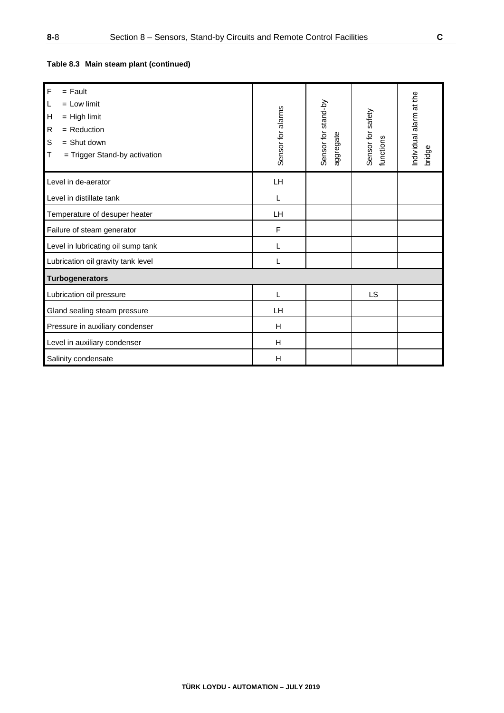| $\overline{F}$<br>$=$ Fault<br>$\mathsf{L}$<br>$=$ Low limit<br>н<br>$=$ High limit<br>$=$ Reduction<br>R<br>S<br>$=$ Shut down<br>$\mathsf T$<br>$=$ Trigger Stand-by activation | Sensor for alarms | Sensor for stand-by<br>aggregate | Sensor for safety<br>functions | Individual alarm at the<br>bridge |
|-----------------------------------------------------------------------------------------------------------------------------------------------------------------------------------|-------------------|----------------------------------|--------------------------------|-----------------------------------|
| Level in de-aerator                                                                                                                                                               | LH                |                                  |                                |                                   |
| Level in distillate tank                                                                                                                                                          | L                 |                                  |                                |                                   |
| Temperature of desuper heater                                                                                                                                                     | LH                |                                  |                                |                                   |
| Failure of steam generator                                                                                                                                                        | $\mathsf{F}$      |                                  |                                |                                   |
| Level in lubricating oil sump tank                                                                                                                                                | L                 |                                  |                                |                                   |
| Lubrication oil gravity tank level                                                                                                                                                |                   |                                  |                                |                                   |
| <b>Turbogenerators</b>                                                                                                                                                            |                   |                                  |                                |                                   |
| Lubrication oil pressure                                                                                                                                                          | L                 |                                  | LS                             |                                   |
| Gland sealing steam pressure                                                                                                                                                      | <b>LH</b>         |                                  |                                |                                   |
| Pressure in auxiliary condenser                                                                                                                                                   | H                 |                                  |                                |                                   |
| Level in auxiliary condenser                                                                                                                                                      | H                 |                                  |                                |                                   |
| Salinity condensate                                                                                                                                                               | H                 |                                  |                                |                                   |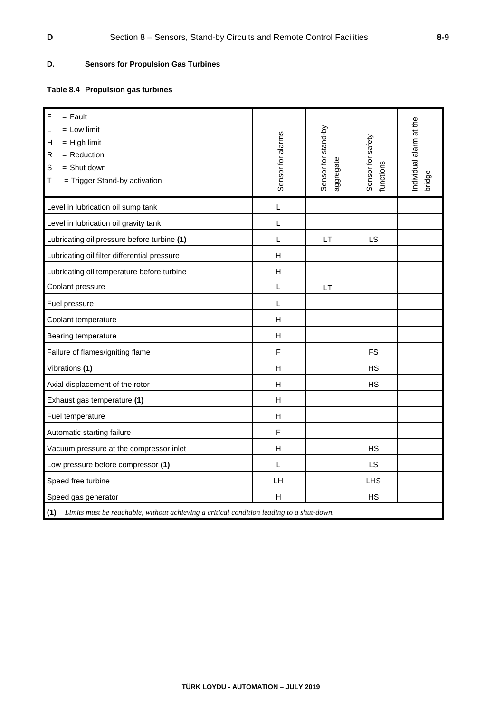### **D. Sensors for Propulsion Gas Turbines**

## **Table 8.4 Propulsion gas turbines**

| F<br>$=$ Fault<br>$=$ Low limit<br>L<br>н<br>$=$ High limit<br>$=$ Reduction<br>R<br>$=$ Shut down<br>S<br>= Trigger Stand-by activation<br>Τ | Sensor for alarms         | Sensor for stand-by<br>aggregate | Sensor for safety<br>functions | ndividual alarm at the<br>bridge |  |  |  |
|-----------------------------------------------------------------------------------------------------------------------------------------------|---------------------------|----------------------------------|--------------------------------|----------------------------------|--|--|--|
| Level in lubrication oil sump tank                                                                                                            | L                         |                                  |                                |                                  |  |  |  |
| Level in lubrication oil gravity tank                                                                                                         | L                         |                                  |                                |                                  |  |  |  |
| Lubricating oil pressure before turbine (1)                                                                                                   | L                         | LT                               | LS                             |                                  |  |  |  |
| Lubricating oil filter differential pressure                                                                                                  | H                         |                                  |                                |                                  |  |  |  |
| Lubricating oil temperature before turbine                                                                                                    | $\boldsymbol{\mathsf{H}}$ |                                  |                                |                                  |  |  |  |
| Coolant pressure                                                                                                                              | L                         | LT                               |                                |                                  |  |  |  |
| Fuel pressure                                                                                                                                 | L                         |                                  |                                |                                  |  |  |  |
| Coolant temperature                                                                                                                           | H                         |                                  |                                |                                  |  |  |  |
| Bearing temperature                                                                                                                           | $\boldsymbol{\mathsf{H}}$ |                                  |                                |                                  |  |  |  |
| Failure of flames/igniting flame                                                                                                              | F                         |                                  | <b>FS</b>                      |                                  |  |  |  |
| Vibrations (1)                                                                                                                                | $\boldsymbol{\mathsf{H}}$ |                                  | <b>HS</b>                      |                                  |  |  |  |
| Axial displacement of the rotor                                                                                                               | $\boldsymbol{\mathsf{H}}$ |                                  | <b>HS</b>                      |                                  |  |  |  |
| Exhaust gas temperature (1)                                                                                                                   | H                         |                                  |                                |                                  |  |  |  |
| Fuel temperature                                                                                                                              | H                         |                                  |                                |                                  |  |  |  |
| Automatic starting failure                                                                                                                    | $\mathsf F$               |                                  |                                |                                  |  |  |  |
| Vacuum pressure at the compressor inlet                                                                                                       | H                         |                                  | <b>HS</b>                      |                                  |  |  |  |
| Low pressure before compressor (1)                                                                                                            | L                         |                                  | <b>LS</b>                      |                                  |  |  |  |
| Speed free turbine                                                                                                                            | LH                        |                                  | <b>LHS</b>                     |                                  |  |  |  |
| Speed gas generator<br>H<br><b>HS</b>                                                                                                         |                           |                                  |                                |                                  |  |  |  |
| (1) Limits must be reachable, without achieving a critical condition leading to a shut-down.                                                  |                           |                                  |                                |                                  |  |  |  |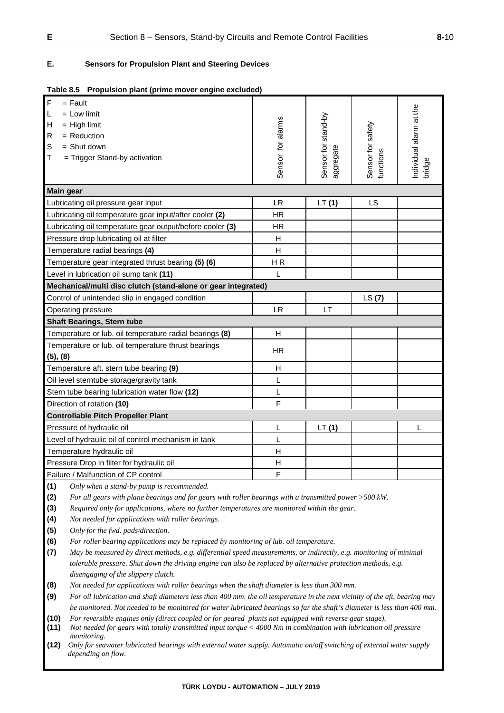### **E. Sensors for Propulsion Plant and Steering Devices**

| $\overline{F}$<br>$=$ Fault                                   |                   |                     |                                |                         |
|---------------------------------------------------------------|-------------------|---------------------|--------------------------------|-------------------------|
| $\mathsf{L}$<br>$=$ Low limit                                 |                   |                     |                                |                         |
| $\mathsf{H}$<br>$=$ High limit                                | Sensor for alarms | Sensor for stand-by |                                | Individual alarm at the |
| $=$ Reduction<br>$\mathsf R$                                  |                   |                     |                                |                         |
| $\mathbb S$<br>$=$ Shut down                                  |                   |                     |                                |                         |
| $\mathsf T$<br>= Trigger Stand-by activation                  |                   | aggregate           | Sensor for safety<br>functions |                         |
|                                                               |                   |                     |                                | bridge                  |
|                                                               |                   |                     |                                |                         |
| <b>Main gear</b>                                              |                   |                     |                                |                         |
| Lubricating oil pressure gear input                           | <b>LR</b>         | LT(1)               | LS                             |                         |
| Lubricating oil temperature gear input/after cooler (2)       | <b>HR</b>         |                     |                                |                         |
| Lubricating oil temperature gear output/before cooler (3)     | <b>HR</b>         |                     |                                |                         |
| Pressure drop lubricating oil at filter                       | H                 |                     |                                |                         |
| Temperature radial bearings (4)                               | H                 |                     |                                |                         |
| Temperature gear integrated thrust bearing (5) (6)            | HR                |                     |                                |                         |
| Level in lubrication oil sump tank (11)                       | L                 |                     |                                |                         |
| Mechanical/multi disc clutch (stand-alone or gear integrated) |                   |                     |                                |                         |
| Control of unintended slip in engaged condition               |                   |                     | LS(7)                          |                         |
| Operating pressure                                            | <b>LR</b>         | LT                  |                                |                         |
| <b>Shaft Bearings, Stern tube</b>                             |                   |                     |                                |                         |
| Temperature or lub. oil temperature radial bearings (8)       | H                 |                     |                                |                         |
| Temperature or lub. oil temperature thrust bearings           | <b>HR</b>         |                     |                                |                         |
| (5), (8)                                                      |                   |                     |                                |                         |
| Temperature aft. stern tube bearing (9)                       | H                 |                     |                                |                         |
| Oil level sterntube storage/gravity tank                      | L                 |                     |                                |                         |
| Stern tube bearing lubrication water flow (12)                | L                 |                     |                                |                         |
| Direction of rotation (10)                                    | F                 |                     |                                |                         |
| <b>Controllable Pitch Propeller Plant</b>                     |                   |                     |                                |                         |
| Pressure of hydraulic oil                                     | L                 | LT(1)               |                                | L                       |
| Level of hydraulic oil of control mechanism in tank           | L                 |                     |                                |                         |
| Temperature hydraulic oil                                     | H                 |                     |                                |                         |
| Pressure Drop in filter for hydraulic oil                     | H                 |                     |                                |                         |
| Failure / Malfunction of CP control                           | F                 |                     |                                |                         |

**(1)** *Only when a stand-by pump is recommended.*

**(2)** *For all gears with plane bearings and for gears with roller bearings with a transmitted power >500 kW.*

**(3)** *Required only for applications, where no further temperatures are monitored within the gear.* 

**(4)** *Not needed for applications with roller bearings.* 

**(5)** *Only for the fwd. pads/direction.*

**(6)** *For roller bearing applications may be replaced by monitoring of lub. oil temperature.*

**(7)** *May be measured by direct methods, e.g. differential speed measurements, or indirectly, e.g. monitoring of minimal tolerable pressure. Shut down the driving engine can also be replaced by alternative protection methods, e.g. disengaging of the slippery clutch.*

**(8)** *Not needed for applications with roller bearings when the shaft diameter is less than 300 mm.*

**(9)** *For oil lubrication and shaft diameters less than 400 mm. the oil temperature in the next vicinity of the aft, bearing may be monitored. Not needed to be monitored for water lubricated bearings so far the shaft's diameter is less than 400 mm.* 

**(10)** *For reversible engines only (direct coupled or for geared plants not equipped with reverse gear stage).*

**(11)** *Not needed for gears with totally transmitted input torque < 4000 Nm in combination with lubrication oil pressure monitoring.*<br>**(12)** *Only for sea* 

**(12)** *Only for seawater lubricated bearings with external water supply. Automatic on/off switching of external water supply depending on flow.*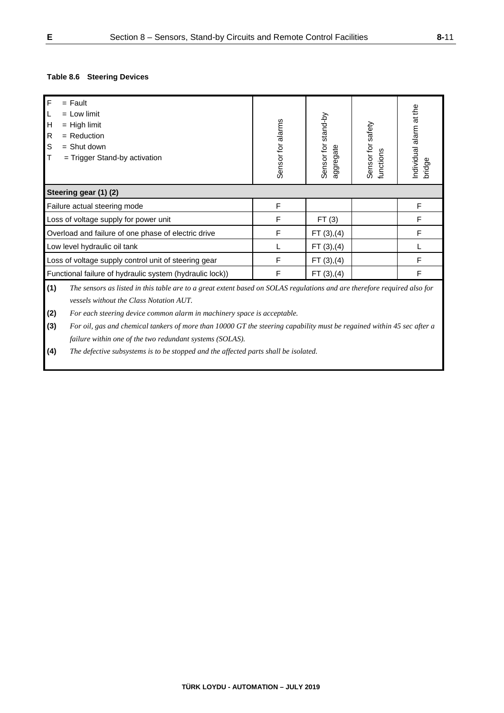### **Table 8.6 Steering Devices**

| $\mathsf{F}$<br>$=$ Fault<br>$=$ Low limit<br>L<br>н<br>$=$ High limit<br>${\sf R}$<br>$=$ Reduction<br>S<br>$=$ Shut down<br>$\top$<br>$=$ Trigger Stand-by activation    | Sensor for alarms | Sensor for stand-by<br>aggregate | Sensor for safety<br>functions | ndividual alarm at the<br>bridge |  |
|----------------------------------------------------------------------------------------------------------------------------------------------------------------------------|-------------------|----------------------------------|--------------------------------|----------------------------------|--|
| Steering gear (1) (2)                                                                                                                                                      |                   |                                  |                                |                                  |  |
| Failure actual steering mode                                                                                                                                               | F                 |                                  |                                | F                                |  |
| Loss of voltage supply for power unit                                                                                                                                      | F                 | FT(3)                            |                                | F                                |  |
| Overload and failure of one phase of electric drive                                                                                                                        | F                 | FT(3), (4)                       |                                | F                                |  |
| Low level hydraulic oil tank                                                                                                                                               |                   | FT(3), (4)                       |                                |                                  |  |
| F<br>Loss of voltage supply control unit of steering gear<br>FT(3), (4)                                                                                                    |                   |                                  |                                |                                  |  |
| F<br>F<br>Functional failure of hydraulic system (hydraulic lock))<br>FT(3), (4)                                                                                           |                   |                                  |                                |                                  |  |
| (1)<br>The sensors as listed in this table are to a great extent based on SOLAS regulations and are therefore required also for<br>vessels without the Class Notation AUT. |                   |                                  |                                |                                  |  |

**(2)** *For each steering device common alarm in machinery space is acceptable.* 

**(3)** *For oil, gas and chemical tankers of more than 10000 GT the steering capability must be regained within 45 sec after a failure within one of the two redundant systems (SOLAS).*

**(4)** *The defective subsystems is to be stopped and the affected parts shall be isolated.*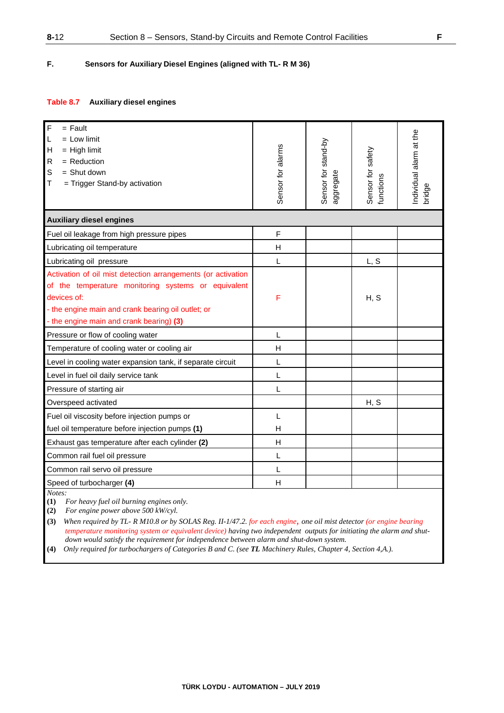### **F. Sensors for Auxiliary Diesel Engines (aligned with TL- R M 36)**

#### **Table 8.7 Auxiliary diesel engines**

| F<br>$=$ Fault<br>$=$ Low limit<br>L<br>Н<br>$=$ High limit<br>$\mathsf{R}$<br>$=$ Reduction<br>S<br>$=$ Shut down<br>Т<br>= Trigger Stand-by activation                                                                             | Sensor for alarms | Sensor for stand-by<br>aggregate | Sensor for safety<br>functions | ndividual alarm at the<br>bridge |
|--------------------------------------------------------------------------------------------------------------------------------------------------------------------------------------------------------------------------------------|-------------------|----------------------------------|--------------------------------|----------------------------------|
| <b>Auxiliary diesel engines</b>                                                                                                                                                                                                      |                   |                                  |                                |                                  |
| Fuel oil leakage from high pressure pipes                                                                                                                                                                                            | F                 |                                  |                                |                                  |
| Lubricating oil temperature                                                                                                                                                                                                          | H                 |                                  |                                |                                  |
| Lubricating oil pressure                                                                                                                                                                                                             | L                 |                                  | L, S                           |                                  |
| Activation of oil mist detection arrangements (or activation<br>of the temperature monitoring systems or equivalent<br>devices of:<br>- the engine main and crank bearing oil outlet; or<br>- the engine main and crank bearing) (3) | F                 |                                  | H, S                           |                                  |
| Pressure or flow of cooling water                                                                                                                                                                                                    | L                 |                                  |                                |                                  |
| Temperature of cooling water or cooling air                                                                                                                                                                                          | H                 |                                  |                                |                                  |
| Level in cooling water expansion tank, if separate circuit                                                                                                                                                                           | L                 |                                  |                                |                                  |
| Level in fuel oil daily service tank                                                                                                                                                                                                 | L                 |                                  |                                |                                  |
| Pressure of starting air                                                                                                                                                                                                             | L                 |                                  |                                |                                  |
| Overspeed activated                                                                                                                                                                                                                  |                   |                                  | H, S                           |                                  |
| Fuel oil viscosity before injection pumps or                                                                                                                                                                                         | L                 |                                  |                                |                                  |
| fuel oil temperature before injection pumps (1)                                                                                                                                                                                      | H                 |                                  |                                |                                  |
| Exhaust gas temperature after each cylinder (2)                                                                                                                                                                                      | H                 |                                  |                                |                                  |
| Common rail fuel oil pressure                                                                                                                                                                                                        | L                 |                                  |                                |                                  |
| Common rail servo oil pressure                                                                                                                                                                                                       | L                 |                                  |                                |                                  |
| Speed of turbocharger (4)                                                                                                                                                                                                            | H                 |                                  |                                |                                  |

*Notes:* 

**(1)** *For heavy fuel oil burning engines only.* 

**(2)** *For engine power above 500 kW/cyl.* 

**(3)** *When required by TL- R M10.8 or by SOLAS Reg. II-1/47.2. for each engine, one oil mist detector (or engine bearing temperature monitoring system or equivalent device) having two independent outputs for initiating the alarm and shutdown would satisfy the requirement for independence between alarm and shut-down system.* 

**(4)** *Only required for turbochargers of Categories B and C. (see TL Machinery Rules, Chapter 4, Section 4,A.).*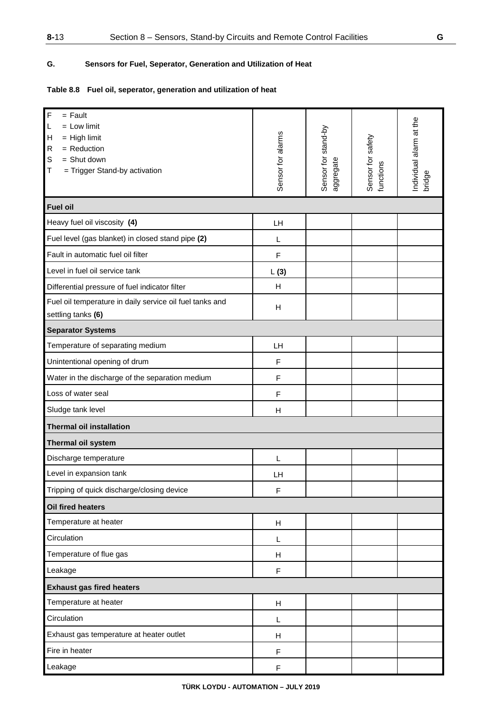## **G. Sensors for Fuel, Seperator, Generation and Utilization of Heat**

## **Table 8.8 Fuel oil, seperator, generation and utilization of heat**

| $\mathsf F$<br>$=$ Fault<br>$=$ Low limit<br>L<br>H<br>$=$ High limit<br>$\mathsf{R}$<br>$=$ Reduction<br>S<br>$=$ Shut down<br>= Trigger Stand-by activation<br>Т | Sensor for alarms         | Sensor for stand-by<br>aggregate | Sensor for safety<br>functions | Individual alarm at the<br>bridge |  |
|--------------------------------------------------------------------------------------------------------------------------------------------------------------------|---------------------------|----------------------------------|--------------------------------|-----------------------------------|--|
| <b>Fuel oil</b>                                                                                                                                                    |                           |                                  |                                |                                   |  |
| Heavy fuel oil viscosity (4)                                                                                                                                       | LH                        |                                  |                                |                                   |  |
| Fuel level (gas blanket) in closed stand pipe (2)                                                                                                                  | L                         |                                  |                                |                                   |  |
| Fault in automatic fuel oil filter                                                                                                                                 | $\mathsf F$               |                                  |                                |                                   |  |
| Level in fuel oil service tank                                                                                                                                     | L(3)                      |                                  |                                |                                   |  |
| Differential pressure of fuel indicator filter                                                                                                                     | H                         |                                  |                                |                                   |  |
| Fuel oil temperature in daily service oil fuel tanks and<br>settling tanks (6)                                                                                     | H                         |                                  |                                |                                   |  |
| <b>Separator Systems</b>                                                                                                                                           |                           |                                  |                                |                                   |  |
| Temperature of separating medium                                                                                                                                   | <b>LH</b>                 |                                  |                                |                                   |  |
| Unintentional opening of drum                                                                                                                                      | F                         |                                  |                                |                                   |  |
| Water in the discharge of the separation medium                                                                                                                    | F                         |                                  |                                |                                   |  |
| Loss of water seal                                                                                                                                                 | F                         |                                  |                                |                                   |  |
| Sludge tank level                                                                                                                                                  | H                         |                                  |                                |                                   |  |
| <b>Thermal oil installation</b>                                                                                                                                    |                           |                                  |                                |                                   |  |
| Thermal oil system                                                                                                                                                 |                           |                                  |                                |                                   |  |
| Discharge temperature                                                                                                                                              | L                         |                                  |                                |                                   |  |
| Level in expansion tank                                                                                                                                            | LH                        |                                  |                                |                                   |  |
| Tripping of quick discharge/closing device                                                                                                                         | F                         |                                  |                                |                                   |  |
| Oil fired heaters                                                                                                                                                  |                           |                                  |                                |                                   |  |
| Temperature at heater                                                                                                                                              | Н                         |                                  |                                |                                   |  |
| Circulation                                                                                                                                                        | L                         |                                  |                                |                                   |  |
| Temperature of flue gas                                                                                                                                            | H                         |                                  |                                |                                   |  |
| Leakage                                                                                                                                                            | F                         |                                  |                                |                                   |  |
| <b>Exhaust gas fired heaters</b>                                                                                                                                   |                           |                                  |                                |                                   |  |
| Temperature at heater                                                                                                                                              | $\boldsymbol{\mathsf{H}}$ |                                  |                                |                                   |  |
| Circulation                                                                                                                                                        | L                         |                                  |                                |                                   |  |
| Exhaust gas temperature at heater outlet                                                                                                                           | H                         |                                  |                                |                                   |  |
| Fire in heater                                                                                                                                                     | F                         |                                  |                                |                                   |  |
| Leakage                                                                                                                                                            | $\mathsf F$               |                                  |                                |                                   |  |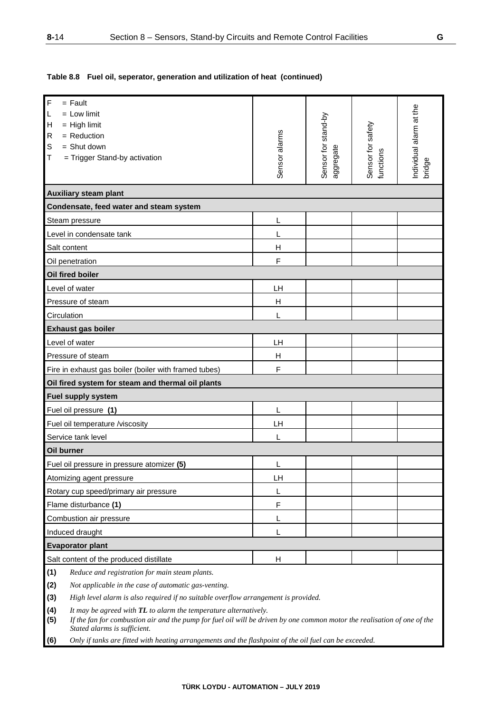**Table 8.8 Fuel oil, seperator, generation and utilization of heat (continued)**

| F<br>$=$ Fault                                                                                                                                                                                                                             |                                                                                                        |                                  |                                |                                  |  |
|--------------------------------------------------------------------------------------------------------------------------------------------------------------------------------------------------------------------------------------------|--------------------------------------------------------------------------------------------------------|----------------------------------|--------------------------------|----------------------------------|--|
| $=$ Low limit<br>L                                                                                                                                                                                                                         |                                                                                                        |                                  |                                |                                  |  |
| $=$ High limit<br>н                                                                                                                                                                                                                        |                                                                                                        |                                  |                                |                                  |  |
| $=$ Reduction<br>R                                                                                                                                                                                                                         |                                                                                                        |                                  |                                |                                  |  |
| $=$ Shut down<br>S                                                                                                                                                                                                                         |                                                                                                        |                                  |                                |                                  |  |
| т<br>= Trigger Stand-by activation                                                                                                                                                                                                         | Sensor alarms                                                                                          | Sensor for stand-by<br>aggregate | Sensor for safety<br>functions | ndividual alarm at the<br>bridge |  |
|                                                                                                                                                                                                                                            |                                                                                                        |                                  |                                |                                  |  |
| <b>Auxiliary steam plant</b>                                                                                                                                                                                                               |                                                                                                        |                                  |                                |                                  |  |
| Condensate, feed water and steam system                                                                                                                                                                                                    |                                                                                                        |                                  |                                |                                  |  |
| Steam pressure                                                                                                                                                                                                                             | L                                                                                                      |                                  |                                |                                  |  |
| Level in condensate tank                                                                                                                                                                                                                   | L                                                                                                      |                                  |                                |                                  |  |
| Salt content                                                                                                                                                                                                                               | H                                                                                                      |                                  |                                |                                  |  |
| Oil penetration                                                                                                                                                                                                                            | F                                                                                                      |                                  |                                |                                  |  |
| Oil fired boiler                                                                                                                                                                                                                           |                                                                                                        |                                  |                                |                                  |  |
| Level of water                                                                                                                                                                                                                             | LH                                                                                                     |                                  |                                |                                  |  |
| Pressure of steam                                                                                                                                                                                                                          | н                                                                                                      |                                  |                                |                                  |  |
| Circulation                                                                                                                                                                                                                                | L                                                                                                      |                                  |                                |                                  |  |
| <b>Exhaust gas boiler</b>                                                                                                                                                                                                                  |                                                                                                        |                                  |                                |                                  |  |
| Level of water                                                                                                                                                                                                                             | LH                                                                                                     |                                  |                                |                                  |  |
| Pressure of steam                                                                                                                                                                                                                          | н                                                                                                      |                                  |                                |                                  |  |
| Fire in exhaust gas boiler (boiler with framed tubes)                                                                                                                                                                                      | F                                                                                                      |                                  |                                |                                  |  |
| Oil fired system for steam and thermal oil plants                                                                                                                                                                                          |                                                                                                        |                                  |                                |                                  |  |
| Fuel supply system                                                                                                                                                                                                                         |                                                                                                        |                                  |                                |                                  |  |
| Fuel oil pressure (1)                                                                                                                                                                                                                      | L                                                                                                      |                                  |                                |                                  |  |
| Fuel oil temperature /viscosity                                                                                                                                                                                                            | LH                                                                                                     |                                  |                                |                                  |  |
| Service tank level                                                                                                                                                                                                                         | L                                                                                                      |                                  |                                |                                  |  |
| Oil burner                                                                                                                                                                                                                                 |                                                                                                        |                                  |                                |                                  |  |
| Fuel oil pressure in pressure atomizer (5)                                                                                                                                                                                                 | L                                                                                                      |                                  |                                |                                  |  |
| Atomizing agent pressure                                                                                                                                                                                                                   | LH                                                                                                     |                                  |                                |                                  |  |
| Rotary cup speed/primary air pressure                                                                                                                                                                                                      | L                                                                                                      |                                  |                                |                                  |  |
| Flame disturbance (1)                                                                                                                                                                                                                      | $\mathsf F$                                                                                            |                                  |                                |                                  |  |
| Combustion air pressure                                                                                                                                                                                                                    | L                                                                                                      |                                  |                                |                                  |  |
| Induced draught                                                                                                                                                                                                                            | L                                                                                                      |                                  |                                |                                  |  |
| <b>Evaporator plant</b>                                                                                                                                                                                                                    |                                                                                                        |                                  |                                |                                  |  |
| Salt content of the produced distillate                                                                                                                                                                                                    | H                                                                                                      |                                  |                                |                                  |  |
| (1)<br>Reduce and registration for main steam plants.                                                                                                                                                                                      |                                                                                                        |                                  |                                |                                  |  |
| (2)<br>Not applicable in the case of automatic gas-venting.                                                                                                                                                                                |                                                                                                        |                                  |                                |                                  |  |
| (3)<br>High level alarm is also required if no suitable overflow arrangement is provided.                                                                                                                                                  |                                                                                                        |                                  |                                |                                  |  |
| (4)<br>It may be agreed with TL to alarm the temperature alternatively.<br>(5)<br>If the fan for combustion air and the pump for fuel oil will be driven by one common motor the realisation of one of the<br>Stated alarms is sufficient. |                                                                                                        |                                  |                                |                                  |  |
| (6)                                                                                                                                                                                                                                        | Only if tanks are fitted with heating arrangements and the flashpoint of the oil fuel can be exceeded. |                                  |                                |                                  |  |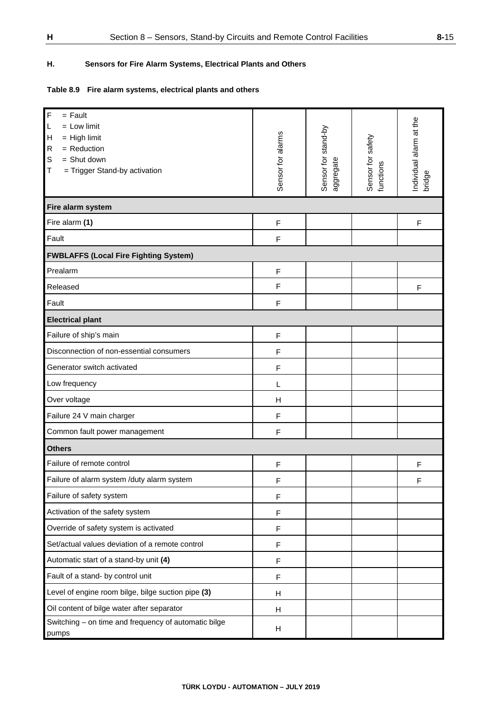## **H. Sensors for Fire Alarm Systems, Electrical Plants and Others**

## **Table 8.9 Fire alarm systems, electrical plants and others**

| $\mathsf F$<br>$=$ Fault<br>$=$ Low limit<br>L<br>$=$ High limit<br>Η<br>$\mathsf{R}$<br>$=$ Reduction<br>S<br>$=$ Shut down<br>= Trigger Stand-by activation<br>Τ | Sensor for alarms | Sensor for stand-by<br>aggregate | Sensor for safety<br>functions | Individual alarm at the<br>bridge |
|--------------------------------------------------------------------------------------------------------------------------------------------------------------------|-------------------|----------------------------------|--------------------------------|-----------------------------------|
| Fire alarm system                                                                                                                                                  |                   |                                  |                                |                                   |
| Fire alarm (1)                                                                                                                                                     | $\mathsf F$       |                                  |                                | F                                 |
| Fault                                                                                                                                                              | F                 |                                  |                                |                                   |
| <b>FWBLAFFS (Local Fire Fighting System)</b>                                                                                                                       |                   |                                  |                                |                                   |
| Prealarm                                                                                                                                                           | $\mathsf F$       |                                  |                                |                                   |
| Released                                                                                                                                                           | F                 |                                  |                                | F                                 |
| Fault                                                                                                                                                              | F                 |                                  |                                |                                   |
| <b>Electrical plant</b>                                                                                                                                            |                   |                                  |                                |                                   |
| Failure of ship's main                                                                                                                                             | F                 |                                  |                                |                                   |
| Disconnection of non-essential consumers                                                                                                                           | F                 |                                  |                                |                                   |
| Generator switch activated                                                                                                                                         | F                 |                                  |                                |                                   |
| Low frequency                                                                                                                                                      | L                 |                                  |                                |                                   |
| Over voltage                                                                                                                                                       | H                 |                                  |                                |                                   |
| Failure 24 V main charger                                                                                                                                          | F                 |                                  |                                |                                   |
| Common fault power management                                                                                                                                      | F                 |                                  |                                |                                   |
| <b>Others</b>                                                                                                                                                      |                   |                                  |                                |                                   |
| Failure of remote control                                                                                                                                          | F                 |                                  |                                | F                                 |
| Failure of alarm system /duty alarm system                                                                                                                         | F                 |                                  |                                | F                                 |
| Failure of safety system                                                                                                                                           | $\mathsf F$       |                                  |                                |                                   |
| Activation of the safety system                                                                                                                                    | F                 |                                  |                                |                                   |
| Override of safety system is activated                                                                                                                             | F                 |                                  |                                |                                   |
| Set/actual values deviation of a remote control                                                                                                                    | F                 |                                  |                                |                                   |
| Automatic start of a stand-by unit (4)                                                                                                                             | $\mathsf F$       |                                  |                                |                                   |
| Fault of a stand- by control unit                                                                                                                                  | $\mathsf F$       |                                  |                                |                                   |
| Level of engine room bilge, bilge suction pipe (3)                                                                                                                 | н                 |                                  |                                |                                   |
| Oil content of bilge water after separator                                                                                                                         | н                 |                                  |                                |                                   |
| Switching - on time and frequency of automatic bilge<br>pumps                                                                                                      | н                 |                                  |                                |                                   |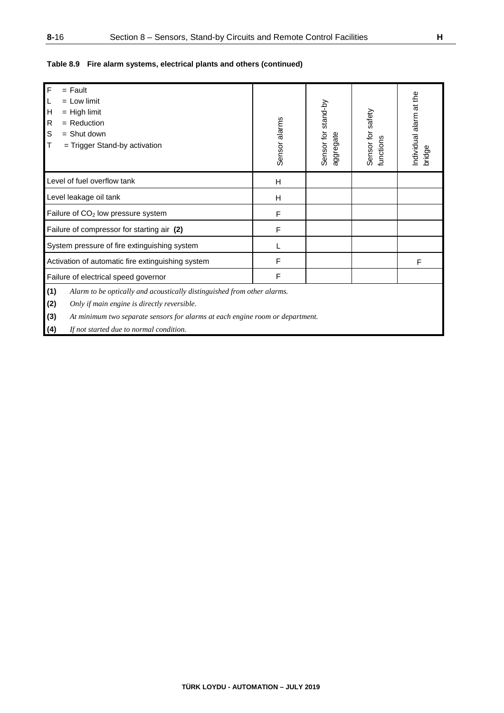## **Table 8.9 Fire alarm systems, electrical plants and others (continued)**

| <b>F</b><br>ℾ℄<br>$\mathsf{H}$<br>${\sf R}$<br>$\mathbb S$<br>Iт | $=$ Fault<br>$=$ Low limit<br>$=$ High limit<br>$=$ Reduction<br>$=$ Shut down<br>$=$ Trigger Stand-by activation                                                                                       | Sensor alarms | Sensor for stand-by<br>aggregate | Sensor for safety<br>functions | Individual alarm at the<br>bridge |  |  |
|------------------------------------------------------------------|---------------------------------------------------------------------------------------------------------------------------------------------------------------------------------------------------------|---------------|----------------------------------|--------------------------------|-----------------------------------|--|--|
|                                                                  | Level of fuel overflow tank                                                                                                                                                                             | H             |                                  |                                |                                   |  |  |
|                                                                  | Level leakage oil tank                                                                                                                                                                                  | H             |                                  |                                |                                   |  |  |
| Failure of CO <sub>2</sub> low pressure system                   |                                                                                                                                                                                                         | F             |                                  |                                |                                   |  |  |
|                                                                  | Failure of compressor for starting air (2)                                                                                                                                                              | F             |                                  |                                |                                   |  |  |
|                                                                  | System pressure of fire extinguishing system                                                                                                                                                            |               |                                  |                                |                                   |  |  |
|                                                                  | Activation of automatic fire extinguishing system                                                                                                                                                       | F             |                                  |                                | F                                 |  |  |
| F<br>Failure of electrical speed governor                        |                                                                                                                                                                                                         |               |                                  |                                |                                   |  |  |
| (1)<br>(2)<br>(3)                                                | Alarm to be optically and acoustically distinguished from other alarms.<br>Only if main engine is directly reversible.<br>At minimum two separate sensors for alarms at each engine room or department. |               |                                  |                                |                                   |  |  |
| (4)                                                              | If not started due to normal condition.                                                                                                                                                                 |               |                                  |                                |                                   |  |  |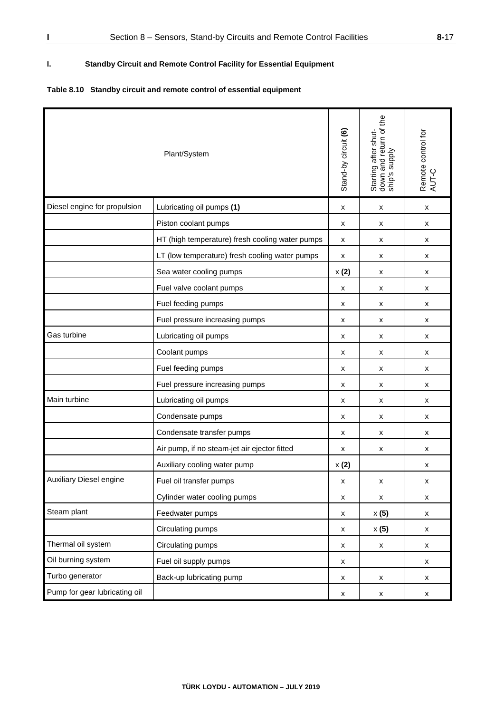## **I. Standby Circuit and Remote Control Facility for Essential Equipment**

## **Table 8.10 Standby circuit and remote control of essential equipment**

| Plant/System                   |                                                 | Stand-by circuit (6) | Starting after shut-<br>down and return of the<br>ship's supply | Remote control for<br>AUT-C |
|--------------------------------|-------------------------------------------------|----------------------|-----------------------------------------------------------------|-----------------------------|
| Diesel engine for propulsion   | Lubricating oil pumps (1)                       | x                    | x                                                               | x                           |
|                                | Piston coolant pumps                            | x                    | x                                                               | x                           |
|                                | HT (high temperature) fresh cooling water pumps | x                    | x                                                               | x                           |
|                                | LT (low temperature) fresh cooling water pumps  | x                    | x                                                               | x                           |
|                                | Sea water cooling pumps                         | x(2)                 | x                                                               | x                           |
|                                | Fuel valve coolant pumps                        | x                    | x                                                               | x                           |
|                                | Fuel feeding pumps                              | x                    | x                                                               | x                           |
|                                | Fuel pressure increasing pumps                  | x                    | x                                                               | x                           |
| Gas turbine                    | Lubricating oil pumps                           | x                    | x                                                               | x                           |
|                                | Coolant pumps                                   | х                    | x                                                               | x                           |
|                                | Fuel feeding pumps                              | x                    | x                                                               | x                           |
|                                | Fuel pressure increasing pumps                  | x                    | x                                                               | x                           |
| Main turbine                   | Lubricating oil pumps                           | x                    | x                                                               | x                           |
|                                | Condensate pumps                                | x                    | х                                                               | x                           |
|                                | Condensate transfer pumps                       | х                    | x                                                               | x                           |
|                                | Air pump, if no steam-jet air ejector fitted    | x                    | х                                                               | х                           |
|                                | Auxiliary cooling water pump                    | x(2)                 |                                                                 | x                           |
| <b>Auxiliary Diesel engine</b> | Fuel oil transfer pumps                         | x                    | x                                                               | x                           |
|                                | Cylinder water cooling pumps                    | $\pmb{\mathsf{x}}$   | $\pmb{\mathsf{x}}$                                              | x                           |
| Steam plant                    | Feedwater pumps                                 | X                    | $\times$ (5)                                                    | x                           |
|                                | Circulating pumps                               | x                    | x(5)                                                            | x                           |
| Thermal oil system             | Circulating pumps                               | X                    | x                                                               | x                           |
| Oil burning system             | Fuel oil supply pumps                           | X                    |                                                                 | x                           |
| Turbo generator                | Back-up lubricating pump                        | x                    | $\pmb{\mathsf{X}}$                                              | x                           |
| Pump for gear lubricating oil  |                                                 | х                    | x                                                               | x                           |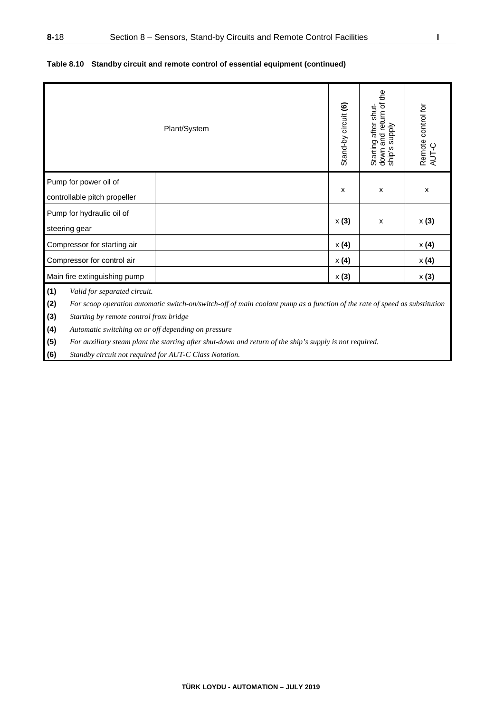|                                                       | Plant/System                                                                                                               | Stand-by circuit (6) | down and return of the<br>ship's supply<br>Starting after shut- | Remote control for<br>AUT-C |
|-------------------------------------------------------|----------------------------------------------------------------------------------------------------------------------------|----------------------|-----------------------------------------------------------------|-----------------------------|
| Pump for power oil of<br>controllable pitch propeller |                                                                                                                            | X                    | x                                                               | X                           |
| Pump for hydraulic oil of<br>steering gear            |                                                                                                                            | x(3)                 | X                                                               | x(3)                        |
| Compressor for starting air                           |                                                                                                                            | x(4)                 |                                                                 | x(4)                        |
| Compressor for control air                            |                                                                                                                            | $\times$ (4)         |                                                                 | x(4)                        |
| Main fire extinguishing pump                          |                                                                                                                            | $\times$ (3)         |                                                                 | x(3)                        |
| (1)<br>Valid for separated circuit.<br>(2)            | For scoop operation automatic switch-on/switch-off of main coolant pump as a function of the rate of speed as substitution |                      |                                                                 |                             |

### **Table 8.10 Standby circuit and remote control of essential equipment (continued)**

**(3)** *Starting by remote control from bridge* 

**(4)** *Automatic switching on or off depending on pressure*

**(5)** *For auxiliary steam plant the starting after shut-down and return of the ship's supply is not required.* 

**(6)** *Standby circuit not required for AUT-C Class Notation.*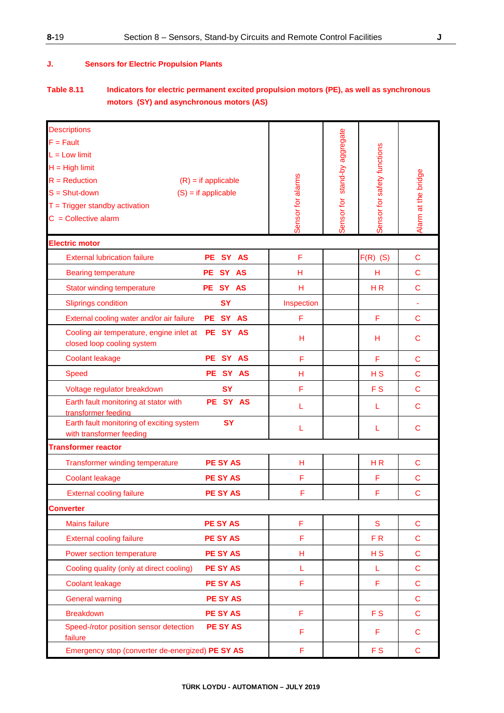### **J. Sensors for Electric Propulsion Plants**

## **Table 8.11 Indicators for electric permanent excited propulsion motors (PE), as well as synchronous motors (SY) and asynchronous motors (AS)**

| <b>Descriptions</b>                                                             |                       |                   |                               |                             |                     |
|---------------------------------------------------------------------------------|-----------------------|-------------------|-------------------------------|-----------------------------|---------------------|
| $F = Fault$                                                                     |                       |                   |                               |                             |                     |
| $L = Low limit$                                                                 |                       |                   |                               |                             |                     |
| $H = High limit$                                                                |                       |                   |                               |                             |                     |
| $R = \text{Reduction}$                                                          | $(R)$ = if applicable |                   |                               |                             |                     |
| $S = Shut-down$                                                                 | $(S) = if applicable$ |                   |                               |                             |                     |
| $T = Trigger$ standby activation                                                |                       |                   |                               |                             |                     |
| $C =$ Collective alarm                                                          |                       | Sensor for alarms | Sensor for stand-by aggregate | Sensor for safety functions | Alarm at the bridge |
|                                                                                 |                       |                   |                               |                             |                     |
| <b>Electric motor</b>                                                           |                       |                   |                               |                             |                     |
| <b>External lubrication failure</b>                                             | PE SY AS              | F                 |                               | $F(R)$ (S)                  | $\mathbf C$         |
| <b>Bearing temperature</b>                                                      | SY AS<br>PE :         | н                 |                               | н                           | C                   |
| <b>Stator winding temperature</b>                                               | PE SY AS              | н                 |                               | H <sub>R</sub>              | $\mathbf C$         |
| <b>Sliprings condition</b>                                                      | <b>SY</b>             | Inspection        |                               |                             | ä,                  |
| External cooling water and/or air failure                                       | PE SY AS              | F                 |                               | F                           | C                   |
| Cooling air temperature, engine inlet at PE SY AS<br>closed loop cooling system |                       | н                 |                               | н                           | C                   |
| <b>Coolant leakage</b>                                                          | PE SY AS              | F                 |                               | F                           | C                   |
| <b>Speed</b>                                                                    | PE SY AS              | н                 |                               | H <sub>S</sub>              | $\mathbf C$         |
| Voltage regulator breakdown                                                     | <b>SY</b>             | F                 |                               | F <sub>S</sub>              | $\mathbf C$         |
| Earth fault monitoring at stator with<br>transformer feeding                    | PE SY AS              | L                 |                               | L                           | $\mathbf C$         |
| Earth fault monitoring of exciting system<br>with transformer feeding           | <b>SY</b>             | L                 |                               | L                           | C                   |
| <b>Transformer reactor</b>                                                      |                       |                   |                               |                             |                     |
| <b>Transformer winding temperature</b>                                          | <b>PE SY AS</b>       | н                 |                               | H <sub>R</sub>              | $\mathbf C$         |
| <b>Coolant leakage</b>                                                          | <b>PE SY AS</b>       | F                 |                               | F                           | $\mathbf C$         |
| <b>External cooling failure</b>                                                 | <b>PE SY AS</b>       | F                 |                               | F                           | $\mathbf C$         |
| <b>Converter</b>                                                                |                       |                   |                               |                             |                     |
| <b>Mains failure</b>                                                            | <b>PE SY AS</b>       | F                 |                               | S                           | $\mathbf C$         |
| <b>External cooling failure</b>                                                 | <b>PE SY AS</b>       | F                 |                               | F <sub>R</sub>              | $\mathsf C$         |
| Power section temperature                                                       | <b>PE SY AS</b>       | H                 |                               | H S                         | C                   |
| Cooling quality (only at direct cooling)                                        | <b>PE SY AS</b>       | L                 |                               | L                           | C                   |
| <b>Coolant leakage</b>                                                          | <b>PE SY AS</b>       | F                 |                               | F                           | C                   |
| <b>General warning</b>                                                          | <b>PE SY AS</b>       |                   |                               |                             | C                   |
| <b>Breakdown</b>                                                                | <b>PE SY AS</b>       | F                 |                               | F <sub>S</sub>              | C                   |
| Speed-/rotor position sensor detection<br>failure                               | <b>PE SY AS</b>       | F                 |                               | F                           | С                   |
| Emergency stop (converter de-energized) PE SY AS                                |                       | F                 |                               | F <sub>S</sub>              | $\mathbf C$         |